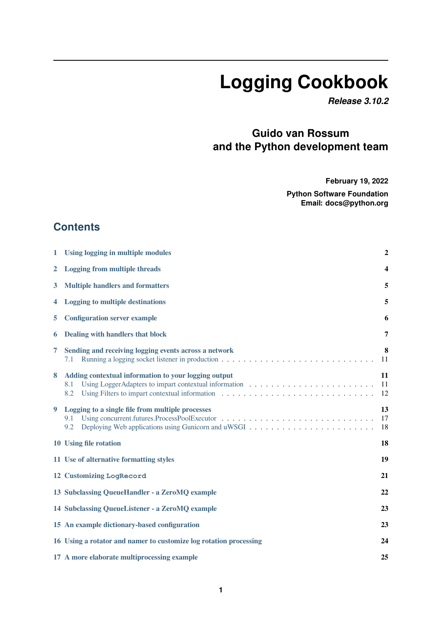# **Logging Cookbook**

*Release 3.10.2*

# **Guido van Rossum and the Python development team**

**February 19, 2022**

**Python Software Foundation Email: docs@python.org**

## **Contents**

| 1            | Using logging in multiple modules                                  |                |  |  |  |  |
|--------------|--------------------------------------------------------------------|----------------|--|--|--|--|
| $\mathbf{2}$ | <b>Logging from multiple threads</b>                               |                |  |  |  |  |
| 3            | <b>Multiple handlers and formatters</b>                            | 5              |  |  |  |  |
| 4            | <b>Logging to multiple destinations</b><br>5                       |                |  |  |  |  |
| 5            | <b>Configuration server example</b><br>6                           |                |  |  |  |  |
| 6            | Dealing with handlers that block<br>7                              |                |  |  |  |  |
| 7            | Sending and receiving logging events across a network<br>7.1       | 8<br>11        |  |  |  |  |
| 8            | Adding contextual information to your logging output<br>8.1<br>8.2 | 11<br>11<br>12 |  |  |  |  |
| 9            | Logging to a single file from multiple processes<br>9.1<br>9.2     | 13<br>17<br>18 |  |  |  |  |
|              | 10 Using file rotation                                             | 18             |  |  |  |  |
|              | 19<br>11 Use of alternative formatting styles                      |                |  |  |  |  |
|              | 12 Customizing LogRecord<br>21                                     |                |  |  |  |  |
|              | 13 Subclassing QueueHandler - a ZeroMQ example<br>22               |                |  |  |  |  |
|              | 14 Subclassing QueueListener - a ZeroMQ example                    | 23             |  |  |  |  |
|              | 15 An example dictionary-based configuration                       | 23             |  |  |  |  |
|              | 16 Using a rotator and namer to customize log rotation processing  | 24             |  |  |  |  |
|              | 17 A more elaborate multiprocessing example                        | 25             |  |  |  |  |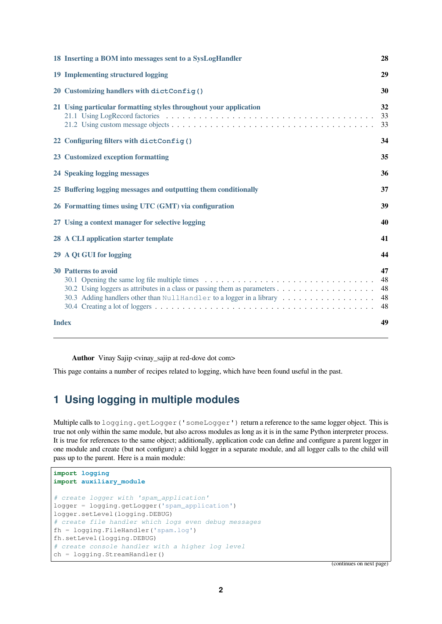|              | 18 Inserting a BOM into messages sent to a SysLogHandler                                            | 28                         |
|--------------|-----------------------------------------------------------------------------------------------------|----------------------------|
|              | 19 Implementing structured logging                                                                  | 29                         |
|              | 20 Customizing handlers with dictConfig()                                                           | 30                         |
|              | 21 Using particular formatting styles throughout your application                                   | 32<br>33<br>33             |
|              | 22 Configuring filters with dictConfig()                                                            | 34                         |
|              | 23 Customized exception formatting                                                                  | 35                         |
|              | 24 Speaking logging messages                                                                        | 36                         |
|              | 25 Buffering logging messages and outputting them conditionally                                     | 37                         |
|              | 26 Formatting times using UTC (GMT) via configuration                                               | 39                         |
|              | 27 Using a context manager for selective logging                                                    | 40                         |
|              | 28 A CLI application starter template                                                               | 41                         |
|              | 29 A Qt GUI for logging                                                                             | 44                         |
|              | <b>30 Patterns to avoid</b><br>30.3 Adding handlers other than NullHandler to a logger in a library | 47<br>48<br>48<br>48<br>48 |
| <b>Index</b> |                                                                                                     | 49                         |
|              |                                                                                                     |                            |

**Author** Vinay Sajip <vinay\_sajip at red-dove dot com>

This page contains a number of recipes related to logging, which have been found useful in the past.

# **1 Using logging in multiple modules**

<span id="page-1-0"></span>Multiple calls to logging.getLogger('someLogger') return a reference to the same logger object. This is true not only within the same module, but also across modules as long as it is in the same Python interpreter process. It is true for references to the same object; additionally, application code can define and configure a parent logger in one module and create (but not configure) a child logger in a separate module, and all logger calls to the child will pass up to the parent. Here is a main module:

```
import logging
import auxiliary_module
# create logger with 'spam_application'
logger = logging.getLogger('spam_application')
logger.setLevel(logging.DEBUG)
# create file handler which logs even debug messages
fh = logging.FileHandler('spam.log')
fh.setLevel(logging.DEBUG)
# create console handler with a higher log level
ch = logging.StreamHandler()
```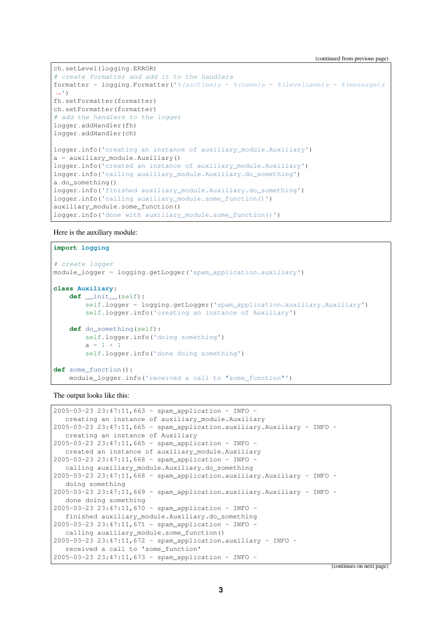(continued from previous page)

```
ch.setLevel(logging.ERROR)
# create formatter and add it to the handlers
formatter = logging.Formatter('%(asctime)s - %(name)s - %(levelname)s - %(message)s
,→')
fh.setFormatter(formatter)
ch.setFormatter(formatter)
# add the handlers to the logger
logger.addHandler(fh)
logger.addHandler(ch)
logger.info('creating an instance of auxiliary_module.Auxiliary')
a = auxiliary_module.Auxiliary()
logger.info('created an instance of auxiliary_module.Auxiliary')
logger.info('calling auxiliary_module.Auxiliary.do_something')
a.do_something()
logger.info('finished auxiliary_module.Auxiliary.do_something')
logger.info('calling auxiliary_module.some_function()')
auxiliary_module.some_function()
logger.info('done with auxiliary_module.some_function()')
```
Here is the auxiliary module:

```
import logging
# create logger
module_logger = logging.getLogger('spam_application.auxiliary')
class Auxiliary:
   def __init__(self):
        self.logger = logging.getLogger('spam_application.auxiliary.Auxiliary')
       self.logger.info('creating an instance of Auxiliary')
    def do_something(self):
        self.logger.info('doing something')
        a = 1 + 1self.logger.info('done doing something')
def some_function():
    module_logger.info('received a call to "some_function"')
```
The output looks like this:

```
2005-03-23 23:47:11,663 - spam_application - INFO -
  creating an instance of auxiliary_module.Auxiliary
2005-03-23 23:47:11,665 - spam application.auxiliary.Auxiliary - INFO -
  creating an instance of Auxiliary
2005-03-23 23:47:11,665 - spam_application - INFO -
  created an instance of auxiliary_module.Auxiliary
2005-03-23 23:47:11,668 - spam_application - INFO -
  calling auxiliary_module.Auxiliary.do_something
2005-03-23 23:47:11,668 - spam_application.auxiliary.Auxiliary - INFO -
  doing something
2005-03-23 23:47:11,669 - spam_application.auxiliary.Auxiliary - INFO -
  done doing something
2005-03-23 23:47:11,670 - spam_application - INFO -
  finished auxiliary_module.Auxiliary.do_something
2005-03-23 23:47:11,671 - spam_application - INFO -
  calling auxiliary module.some function()
2005-03-23 23:47:11,672 - spam_application.auxiliary - INFO -
  received a call to 'some_function'
2005-03-23 23:47:11,673 - spam_application - INFO -
```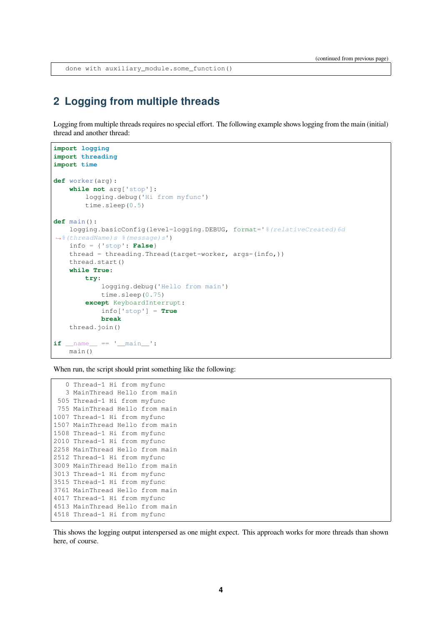done with auxiliary\_module.some\_function()

#### <span id="page-3-0"></span>**2 Logging from multiple threads**

Logging from multiple threads requires no special effort. The following example shows logging from the main (initial) thread and another thread:

```
import logging
import threading
import time
def worker(arg):
    while not arg['stop']:
        logging.debug('Hi from myfunc')
        time.sleep(0.5)
def main():
    logging.basicConfig(level=logging.DEBUG, format='%(relativeCreated)6d
,→%(threadName)s %(message)s')
    info = {'stop': False}
    thread = threading.Thread(target=worker, args=(info,))
    thread.start()
    while True:
        try:
            logging.debug('Hello from main')
            time.sleep(0.75)
        except KeyboardInterrupt:
           info['stop'] = True
            break
    thread.join()
if __name__ == '__main__':
   main()
```
When run, the script should print something like the following:

```
0 Thread-1 Hi from myfunc
  3 MainThread Hello from main
505 Thread-1 Hi from myfunc
755 MainThread Hello from main
1007 Thread-1 Hi from myfunc
1507 MainThread Hello from main
1508 Thread-1 Hi from myfunc
2010 Thread-1 Hi from myfunc
2258 MainThread Hello from main
2512 Thread-1 Hi from myfunc
3009 MainThread Hello from main
3013 Thread-1 Hi from myfunc
3515 Thread-1 Hi from myfunc
3761 MainThread Hello from main
4017 Thread-1 Hi from myfunc
4513 MainThread Hello from main
4518 Thread-1 Hi from myfunc
```
This shows the logging output interspersed as one might expect. This approach works for more threads than shown here, of course.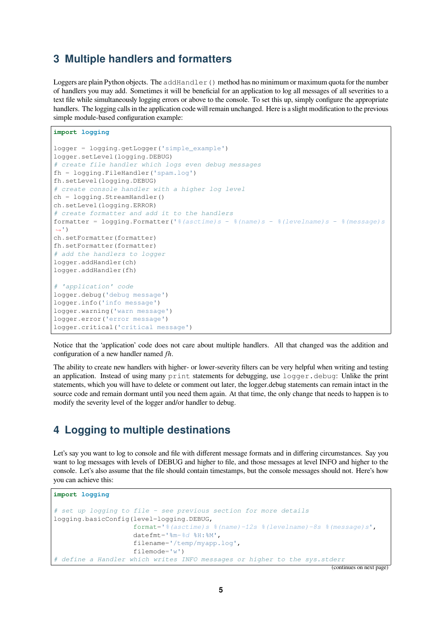## <span id="page-4-0"></span>**3 Multiple handlers and formatters**

Loggers are plain Python objects. The  $addHandler()$  method has no minimum or maximum quota for the number of handlers you may add. Sometimes it will be beneficial for an application to log all messages of all severities to a text file while simultaneously logging errors or above to the console. To set this up, simply configure the appropriate handlers. The logging calls in the application code will remain unchanged. Here is a slight modification to the previous simple module-based configuration example:

```
import logging
logger = logging.getLogger('simple_example')
logger.setLevel(logging.DEBUG)
# create file handler which logs even debug messages
fh = logging.FileHandler('spam.log')
fh.setLevel(logging.DEBUG)
# create console handler with a higher log level
ch = logging.StreamHandler()
ch.setLevel(logging.ERROR)
# create formatter and add it to the handlers
formatter = logging.Formatter('%(asctime)s - %(name)s - %(levelname)s - %(message)s
,→')
ch.setFormatter(formatter)
fh.setFormatter(formatter)
# add the handlers to logger
logger.addHandler(ch)
logger.addHandler(fh)
# 'application' code
logger.debug('debug message')
logger.info('info message')
logger.warning('warn message')
logger.error('error message')
logger.critical('critical message')
```
Notice that the 'application' code does not care about multiple handlers. All that changed was the addition and configuration of a new handler named *fh*.

The ability to create new handlers with higher- or lower-severity filters can be very helpful when writing and testing an application. Instead of using many print statements for debugging, use logger.debug: Unlike the print statements, which you will have to delete or comment out later, the logger.debug statements can remain intact in the source code and remain dormant until you need them again. At that time, the only change that needs to happen is to modify the severity level of the logger and/or handler to debug.

## <span id="page-4-1"></span>**4 Logging to multiple destinations**

Let's say you want to log to console and file with different message formats and in differing circumstances. Say you want to log messages with levels of DEBUG and higher to file, and those messages at level INFO and higher to the console. Let's also assume that the file should contain timestamps, but the console messages should not. Here's how you can achieve this:

```
import logging
# set up logging to file - see previous section for more details
logging.basicConfig(level=logging.DEBUG,
                    format='%(asctime)s %(name)-12s %(levelname)-8s %(message)s',
                    datefmt='%m-%d %H:%M',
                    filename='/temp/myapp.log',
                    filemode='w')
 # define a Handler which writes INFO messages or higher to the sys.stderr
```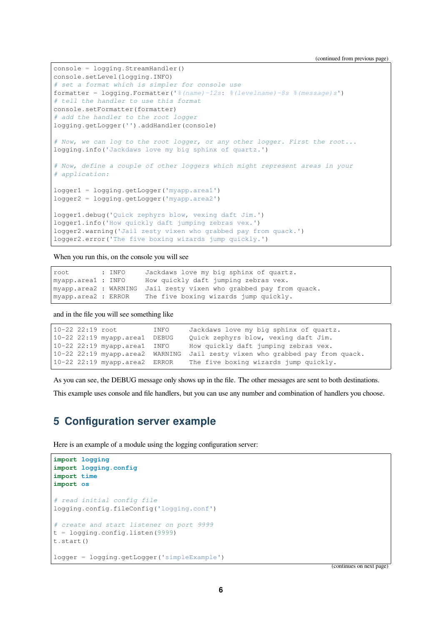(continued from previous page)

```
console = logging.StreamHandler()
console.setLevel(logging.INFO)
# set a format which is simpler for console use
formatter = logging.Formatter('%(name)-12s: %(levelname)-8s %(message)s')
# tell the handler to use this format
console.setFormatter(formatter)
# add the handler to the root logger
logging.getLogger('').addHandler(console)
# Now, we can log to the root logger, or any other logger. First the root...
logging.info('Jackdaws love my big sphinx of quartz.')
# Now, define a couple of other loggers which might represent areas in your
# application:
logger1 = logging.getLogger('myapp.area1')
logger2 = logging.getLogger('myapp.area2')
logger1.debug('Quick zephyrs blow, vexing daft Jim.')
logger1.info('How quickly daft jumping zebras vex.')
logger2.warning('Jail zesty vixen who grabbed pay from quack.')
logger2.error('The five boxing wizards jump quickly.')
```
When you run this, on the console you will see

```
root : INFO Jackdaws love my big sphinx of quartz.
myapp.area1 : INFO How quickly daft jumping zebras vex.
myapp.area2 : WARNING Jail zesty vixen who grabbed pay from quack.
myapp.area2 : ERROR The five boxing wizards jump quickly.
```
and in the file you will see something like

```
10-22 22:19 root INFO Jackdaws love my big sphinx of quartz.
10-22 22:19 myapp.area1 DEBUG Quick zephyrs blow, vexing daft Jim.
10-22 22:19 myapp.area1 INFO How quickly daft jumping zebras vex.
10-22 22:19 myapp.area2 WARNING Jail zesty vixen who grabbed pay from quack.
10-22 22:19 myapp.area2 ERROR The five boxing wizards jump quickly.
```
As you can see, the DEBUG message only shows up in the file. The other messages are sent to both destinations.

This example uses console and file handlers, but you can use any number and combination of handlers you choose.

#### <span id="page-5-0"></span>**5 Configuration server example**

Here is an example of a module using the logging configuration server:

```
import logging
import logging.config
import time
import os
# read initial config file
logging.config.fileConfig('logging.conf')
# create and start listener on port 9999
t = logging.config.listen(9999)
t.start()
logger = logging.getLogger('simpleExample')
```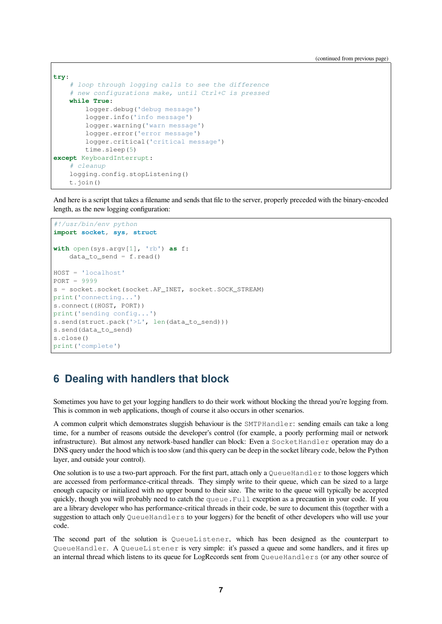(continued from previous page)

```
try:
    # loop through logging calls to see the difference
    # new configurations make, until Ctrl+C is pressed
    while True:
       logger.debug('debug message')
        logger.info('info message')
        logger.warning('warn message')
        logger.error('error message')
        logger.critical('critical message')
        time.sleep(5)
except KeyboardInterrupt:
    # cleanup
    logging.config.stopListening()
    t.join()
```
And here is a script that takes a filename and sends that file to the server, properly preceded with the binary-encoded length, as the new logging configuration:

```
#!/usr/bin/env python
import socket, sys, struct
with open(sys.argv[1], 'rb') as f:
    data_to_send = f.read()HOST = 'localhost'
PORT = 9999
s = socket.socket(socket.AF_INET, socket.SOCK_STREAM)
print('connecting...')
s.connect((HOST, PORT))
print('sending config...')
s.send(struct.pack('>L', len(data_to_send)))
s.send(data_to_send)
s.close()
print('complete')
```
## <span id="page-6-0"></span>**6 Dealing with handlers that block**

Sometimes you have to get your logging handlers to do their work without blocking the thread you're logging from. This is common in web applications, though of course it also occurs in other scenarios.

A common culprit which demonstrates sluggish behaviour is the SMTPHandler: sending emails can take a long time, for a number of reasons outside the developer's control (for example, a poorly performing mail or network infrastructure). But almost any network-based handler can block: Even a SocketHandler operation may do a DNS query under the hood which is too slow (and this query can be deep in the socket library code, below the Python layer, and outside your control).

One solution is to use a two-part approach. For the first part, attach only a QueueHandler to those loggers which are accessed from performance-critical threads. They simply write to their queue, which can be sized to a large enough capacity or initialized with no upper bound to their size. The write to the queue will typically be accepted quickly, though you will probably need to catch the queue.Full exception as a precaution in your code. If you are a library developer who has performance-critical threads in their code, be sure to document this (together with a suggestion to attach only QueueHandlers to your loggers) for the benefit of other developers who will use your code.

The second part of the solution is QueueListener, which has been designed as the counterpart to QueueHandler. A QueueListener is very simple: it's passed a queue and some handlers, and it fires up an internal thread which listens to its queue for LogRecords sent from QueueHandlers (or any other source of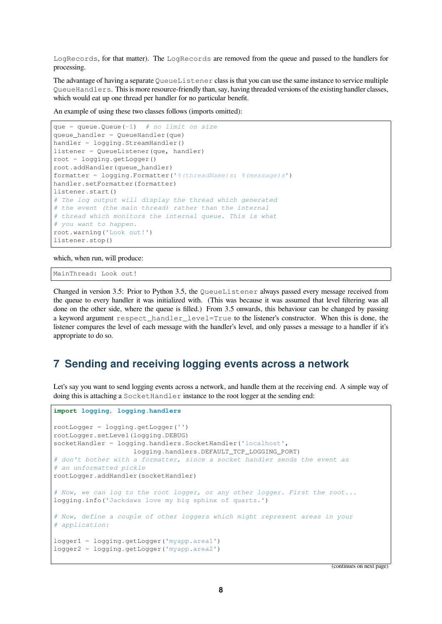LogRecords, for that matter). The LogRecords are removed from the queue and passed to the handlers for processing.

The advantage of having a separate  $QueueListener$  class is that you can use the same instance to service multiple QueueHandlers. This is more resource-friendly than, say, having threaded versions of the existing handler classes, which would eat up one thread per handler for no particular benefit.

An example of using these two classes follows (imports omitted):

```
que = queue.Queue(-1) # no limit on size
queue handler = Queuefandler(que)handler = logging.StreamHandler()
listener = QueueListener(que, handler)
root = logging.getLogger()
root.addHandler(queue_handler)
formatter = logging.Formatter('%(threadName)s: %(message)s')
handler.setFormatter(formatter)
listener.start()
# The log output will display the thread which generated
# the event (the main thread) rather than the internal
# thread which monitors the internal queue. This is what
# you want to happen.
root.warning('Look out!')
listener.stop()
```
which, when run, will produce:

MainThread: Look out!

Changed in version 3.5: Prior to Python 3.5, the QueueListener always passed every message received from the queue to every handler it was initialized with. (This was because it was assumed that level filtering was all done on the other side, where the queue is filled.) From 3.5 onwards, this behaviour can be changed by passing a keyword argument respect\_handler\_level=True to the listener's constructor. When this is done, the listener compares the level of each message with the handler's level, and only passes a message to a handler if it's appropriate to do so.

#### <span id="page-7-0"></span>**7 Sending and receiving logging events across a network**

Let's say you want to send logging events across a network, and handle them at the receiving end. A simple way of doing this is attaching a SocketHandler instance to the root logger at the sending end:

```
import logging, logging.handlers
rootLogger = logging.getLogger('')
rootLogger.setLevel(logging.DEBUG)
socketHandler = logging.handlers.SocketHandler('localhost',
                    logging.handlers.DEFAULT_TCP_LOGGING_PORT)
# don't bother with a formatter, since a socket handler sends the event as
# an unformatted pickle
rootLogger.addHandler(socketHandler)
# Now, we can log to the root logger, or any other logger. First the root...
logging.info('Jackdaws love my big sphinx of quartz.')
# Now, define a couple of other loggers which might represent areas in your
# application:
logger1 = logging.getLogger('myapp.area1')
logger2 = logging.getLogger('myapp.area2')
```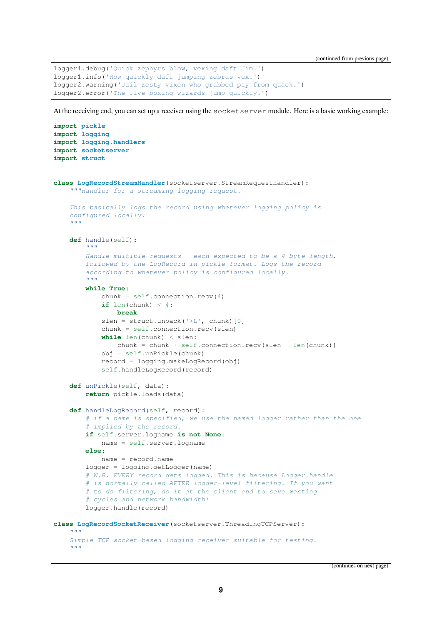(continued from previous page)

```
logger1.debug('Quick zephyrs blow, vexing daft Jim.')
logger1.info('How quickly daft jumping zebras vex.')
logger2.warning('Jail zesty vixen who grabbed pay from quack.')
logger2.error('The five boxing wizards jump quickly.')
```
At the receiving end, you can set up a receiver using the socketserver module. Here is a basic working example:

```
import pickle
import logging
import logging.handlers
import socketserver
import struct
class LogRecordStreamHandler(socketserver.StreamRequestHandler):
    """Handler for a streaming logging request.
    This basically logs the record using whatever logging policy is
    configured locally.
    """
    def handle(self):
        """
        Handle multiple requests - each expected to be a 4-byte length,
        followed by the LogRecord in pickle format. Logs the record
        according to whatever policy is configured locally.
        """
        while True:
            chunk = self.concurrent connection. recv(4)if len(chunk) < 4:
                break
            slen = struct.unpack('>L', chunk)[0]
            chunk = self.connection.recv(slen)
            while len(chunk) < slen:
                chunk = chunk + self.connection.recv(slen - len(chunk))
            obj = self.unPickle(chunk)
            record = logging.makeLogRecord(obj)
            self.handleLogRecord(record)
    def unPickle(self, data):
        return pickle.loads(data)
    def handleLogRecord(self, record):
        # if a name is specified, we use the named logger rather than the one
        # implied by the record.
        if self.server.logname is not None:
           name = self.server.logname
        else:
           name = record.name
        logger = logging.getLogger(name)# N.B. EVERY record gets logged. This is because Logger.handle
        # is normally called AFTER logger-level filtering. If you want
        # to do filtering, do it at the client end to save wasting
        # cycles and network bandwidth!
        logger.handle(record)
class LogRecordSocketReceiver(socketserver.ThreadingTCPServer):
    """
    Simple TCP socket-based logging receiver suitable for testing.
    """
```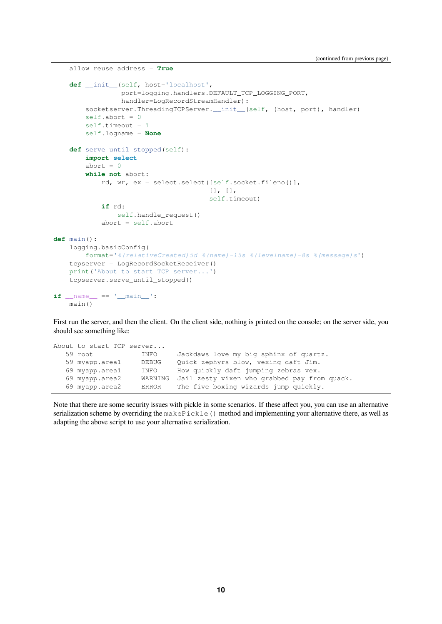```
allow_reuse_address = True
    def __init__(self, host='localhost',
                 port=logging.handlers.DEFAULT_TCP_LOGGING_PORT,
                 handler=LogRecordStreamHandler):
        socketserver.ThreadingTCPServer.__init__(self, (host, port), handler)
        self.about = 0self.timeout = 1self.logname = None
    def serve_until_stopped(self):
        import select
        abort = 0while not abort:
            rd, wr, ex = select.select([self.socket.fileno()],
                                       [], [],
                                       self.timeout)
            if rd:
               self.handle_request()
            abort = self.abort
def main():
   logging.basicConfig(
       format='%(relativeCreated)5d %(name)-15s %(levelname)-8s %(message)s')
    tcpserver = LogRecordSocketReceiver()
    print('About to start TCP server...')
    tcpserver.serve_until_stopped()
if __name__ == '__main__':
    main()
```
First run the server, and then the client. On the client side, nothing is printed on the console; on the server side, you should see something like:

```
About to start TCP server...
  59 root INFO Jackdaws love my big sphinx of quartz.
  59 myapp.area1 DEBUG Quick zephyrs blow, vexing daft Jim.
  69 myapp.area1 INFO How quickly daft jumping zebras vex.
  69 myapp.area2 WARNING Jail zesty vixen who grabbed pay from quack.
  69 myapp.area2 ERROR The five boxing wizards jump quickly.
```
Note that there are some security issues with pickle in some scenarios. If these affect you, you can use an alternative serialization scheme by overriding the makePickle() method and implementing your alternative there, as well as adapting the above script to use your alternative serialization.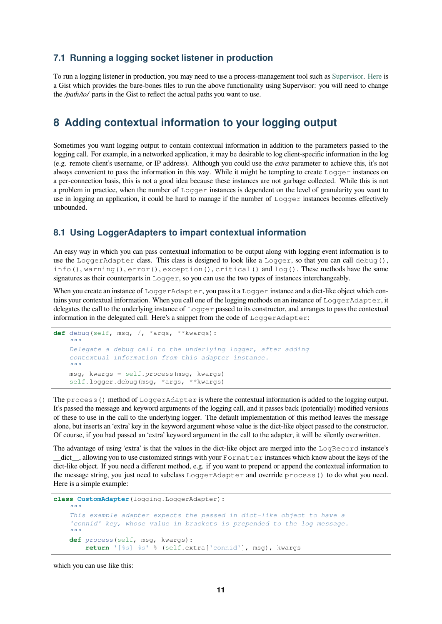#### **7.1 Running a logging socket listener in production**

<span id="page-10-0"></span>To run a logging listener in production, you may need to use a process-management tool such as Supervisor. Here is a Gist which provides the bare-bones files to run the above functionality using Supervisor: you will need to change the */path/to/* parts in the Gist to reflect the actual paths you want to use.

## **8 Adding contextual information to your logging outp[ut](http://supervisord.org/)**

<span id="page-10-1"></span>Sometimes you want logging output to contain contextual information in addition to the parameters passed to the logging call. For example, in a networked application, it may be desirable to log client-specific information in the log (e.g. remote client's username, or IP address). Although you could use the *extra* parameter to achieve this, it's not always convenient to pass the information in this way. While it might be tempting to create Logger instances on a per-connection basis, this is not a good idea because these instances are not garbage collected. While this is not a problem in practice, when the number of Logger instances is dependent on the level of granularity you want to use in logging an application, it could be hard to manage if the number of Logger instances becomes effectively unbounded.

#### **8.1 Using LoggerAdapters to impart contextual information**

<span id="page-10-2"></span>An easy way in which you can pass contextual information to be output along with logging event information is to use the LoggerAdapter class. This class is designed to look like a Logger, so that you can call debug(), info(), warning(), error(), exception(), critical() and log(). These methods have the same signatures as their counterparts in  $Logger$ , so you can use the two types of instances interchangeably.

When you create an instance of LoggerAdapter, you pass it a Logger instance and a dict-like object which contains your contextual information. When you call one of the logging methods on an instance of LoggerAdapter, it delegates the call to the underlying instance of  $\text{Logger}$  passed to its constructor, and arranges to pass the contextual information in the delegated call. Here's a snippet from the code of LoggerAdapter:

```
def debug(self, msg, /, *args, **kwargs):
    """
    Delegate a debug call to the underlying logger, after adding
    contextual information from this adapter instance.
    """
   msg, kwargs = self.process(msg, kwargs)
    self.logger.debug(msg, *args, **kwargs)
```
The process () method of LoggerAdapter is where the contextual information is added to the logging output. It's passed the message and keyword arguments of the logging call, and it passes back (potentially) modified versions of these to use in the call to the underlying logger. The default implementation of this method leaves the message alone, but inserts an 'extra' key in the keyword argument whose value is the dict-like object passed to the constructor. Of course, if you had passed an 'extra' keyword argument in the call to the adapter, it will be silently overwritten.

The advantage of using 'extra' is that the values in the dict-like object are merged into the LogRecord instance's \_\_dict\_\_, allowing you to use customized strings with your Formatter instances which know about the keys of the dict-like object. If you need a different method, e.g. if you want to prepend or append the contextual information to the message string, you just need to subclass LoggerAdapter and override process() to do what you need. Here is a simple example:

```
class CustomAdapter(logging.LoggerAdapter):
    """
   This example adapter expects the passed in dict-like object to have a
    'connid' key, whose value in brackets is prepended to the log message.
    """
    def process(self, msg, kwargs):
       return '[%s] %s' % (self.extra['connid'], msg), kwargs
```
which you can use like this: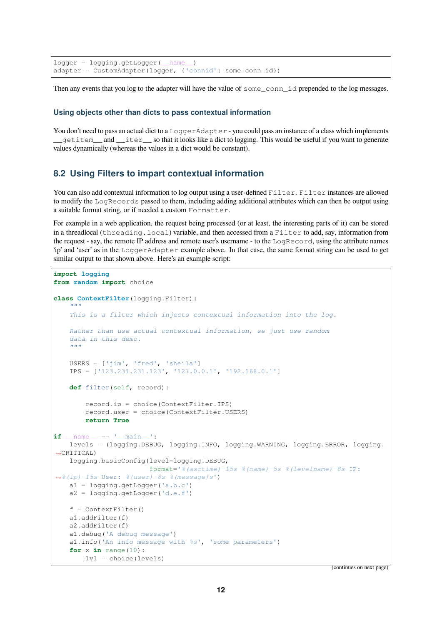$logger = logging.getLogger($  name ) adapter = CustomAdapter(logger, {'connid': some\_conn\_id})

Then any events that you log to the adapter will have the value of some\_conn\_id prepended to the log messages.

#### **Using objects other than dicts to pass contextual information**

You don't need to pass an actual dict to a LoggerAdapter - you could pass an instance of a class which implements \_\_getitem\_\_ and \_\_iter\_\_ so that it looks like a dict to logging. This would be useful if you want to generate values dynamically (whereas the values in a dict would be constant).

#### <span id="page-11-0"></span>**8.2 Using Filters to impart contextual information**

You can also add contextual information to log output using a user-defined Filter. Filter instances are allowed to modify the LogRecords passed to them, including adding additional attributes which can then be output using a suitable format string, or if needed a custom Formatter.

For example in a web application, the request being processed (or at least, the interesting parts of it) can be stored in a threadlocal (threading.local) variable, and then accessed from a Filter to add, say, information from the request - say, the remote IP address and remote user's username - to the LogRecord, using the attribute names 'ip' and 'user' as in the LoggerAdapter example above. In that case, the same format string can be used to get similar output to that shown above. Here's an example script:

```
import logging
from random import choice
class ContextFilter(logging.Filter):
    """
    This is a filter which injects contextual information into the log.
    Rather than use actual contextual information, we just use random
    data in this demo.
    """
    USERS = ['jim', 'fred', 'sheila']
    IPS = ['123.231.231.123', '127.0.0.1', '192.168.0.1']
    def filter(self, record):
        record.ip = choice(ContextFilter.IPS)
        record.user = choice(ContextFilter.USERS)
        return True
if name == '_main ':
    levels = (logging.DEBUG, logging.INFO, logging.WARNING, logging.ERROR, logging.
,→CRITICAL)
    logging.basicConfig(level=logging.DEBUG,
                        format='%(asctime)-15s %(name)-5s %(levelname)-8s IP:
,→%(ip)-15s User: %(user)-8s %(message)s')
    a1 = logging.getLogger('a.b.c')
    a2 = logging.getLogger('d.e.f')
    f = ContextFilter()
    a1.addFilter(f)
    a2.addFilter(f)
    a1.debug('A debug message')
    a1.info('An info message with %s', 'some parameters')
    for x in range(10):
        \text{lvl} = \text{choice}(\text{levels})
```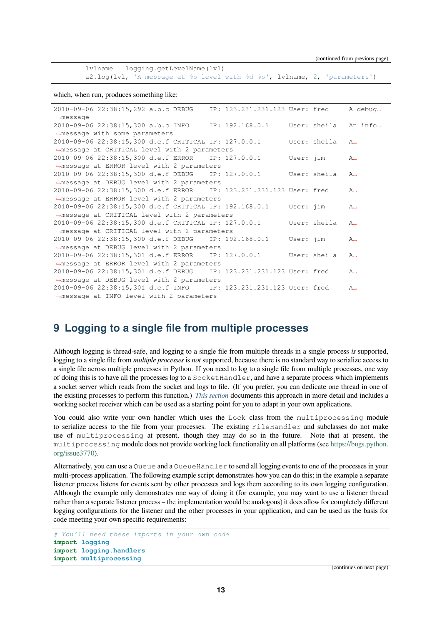lvlname = logging.getLevelName(lvl) a2.log(lvl, 'A message at *%s* level with *%d %s*', lvlname, 2, 'parameters')

which, when run, produces something like:

| 2010-09-06 22:38:15,292 a.b.c DEBUG IP: 123.231.231.123 User: fred |  |  |           |              | A debug <sub>-</sub> |  |  |  |  |  |
|--------------------------------------------------------------------|--|--|-----------|--------------|----------------------|--|--|--|--|--|
| $\rightarrow$ message                                              |  |  |           |              |                      |  |  |  |  |  |
| 2010-09-06 22:38:15,300 a.b.c INFO IP: 192.168.0.1                 |  |  |           | User: sheila | An info.             |  |  |  |  |  |
| $\rightarrow$ message with some parameters                         |  |  |           |              |                      |  |  |  |  |  |
| 2010-09-06 22:38:15,300 d.e.f CRITICAL IP: 127.0.0.1               |  |  |           | User: sheila | A.,                  |  |  |  |  |  |
| →message at CRITICAL level with 2 parameters                       |  |  |           |              |                      |  |  |  |  |  |
| 2010-09-06 22:38:15,300 d.e.f ERROR IP: 127.0.0.1                  |  |  | User: jim |              | A.,                  |  |  |  |  |  |
| →message at ERROR level with 2 parameters                          |  |  |           |              |                      |  |  |  |  |  |
| 2010-09-06 22:38:15,300 d.e.f DEBUG IP: 127.0.0.1 User: sheila     |  |  |           |              | A.,                  |  |  |  |  |  |
| $\rightarrow$ message at DEBUG level with 2 parameters             |  |  |           |              |                      |  |  |  |  |  |
| 2010-09-06 22:38:15,300 d.e.f ERROR IP: 123.231.231.123 User: fred |  |  |           |              | $A_{-}$              |  |  |  |  |  |
| →message at ERROR level with 2 parameters                          |  |  |           |              |                      |  |  |  |  |  |
| 2010-09-06 22:38:15,300 d.e.f CRITICAL IP: 192.168.0.1             |  |  | User: jim |              | $A_{-}$              |  |  |  |  |  |
| →message at CRITICAL level with 2 parameters                       |  |  |           |              |                      |  |  |  |  |  |
| 2010-09-06 22:38:15,300 d.e.f CRITICAL IP: 127.0.0.1               |  |  |           | User: sheila | A.,                  |  |  |  |  |  |
| →message at CRITICAL level with 2 parameters                       |  |  |           |              |                      |  |  |  |  |  |
| 2010-09-06 22:38:15,300 d.e.f DEBUG IP: 192.168.0.1 User: jim      |  |  |           |              | $A_{-}$              |  |  |  |  |  |
| →message at DEBUG level with 2 parameters                          |  |  |           |              |                      |  |  |  |  |  |
| 2010-09-06 22:38:15,301 d.e.f ERROR IP: 127.0.0.1 User: sheila     |  |  |           |              | A.,                  |  |  |  |  |  |
| →message at ERROR level with 2 parameters                          |  |  |           |              |                      |  |  |  |  |  |
| 2010-09-06 22:38:15,301 d.e.f DEBUG IP: 123.231.231.123 User: fred |  |  |           |              | A.,                  |  |  |  |  |  |
| →message at DEBUG level with 2 parameters                          |  |  |           |              |                      |  |  |  |  |  |
| 2010-09-06 22:38:15,301 d.e.f INFO IP: 123.231.231.123 User: fred  |  |  |           |              | A.,                  |  |  |  |  |  |
| $\rightarrow$ message at INFO level with 2 parameters              |  |  |           |              |                      |  |  |  |  |  |
|                                                                    |  |  |           |              |                      |  |  |  |  |  |

## **9 Logging to a single file from multiple processes**

<span id="page-12-0"></span>Although logging is thread-safe, and logging to a single file from multiple threads in a single process *is* supported, logging to a single file from *multiple processes* is *not* supported, because there is no standard way to serialize access to a single file across multiple processes in Python. If you need to log to a single file from multiple processes, one way of doing this is to have all the processes log to a SocketHandler, and have a separate process which implements a socket server which reads from the socket and logs to file. (If you prefer, you can dedicate one thread in one of the existing processes to perform this function.) *This section* documents this approach in more detail and includes a working socket receiver which can be used as a starting point for you to adapt in your own applications.

You could also write your own handler which uses the Lock class from the multiprocessing module to serialize access to the file from your processes. The existing FileHandler and subclasses do not make use of multiprocessing at present, tho[ugh they m](#page-7-0)ay do so in the future. Note that at present, the multiprocessing module does not provide working lock functionality on all platforms (see https://bugs.python. org/issue3770).

Alternatively, you can use a Queue and a QueueHandler to send all logging events to one of the processes in your multi-process application. The following example script demonstrates how you can do this; in the example a separate listener process listens for events sent by other processes and logs them according to its own l[ogging configuration.](https://bugs.python.org/issue3770) [Although the e](https://bugs.python.org/issue3770)xample only demonstrates one way of doing it (for example, you may want to use a listener thread rather than a separate listener process – the implementation would be analogous) it does allow for completely different logging configurations for the listener and the other processes in your application, and can be used as the basis for code meeting your own specific requirements:

```
# You'll need these imports in your own code
import logging
import logging.handlers
import multiprocessing
```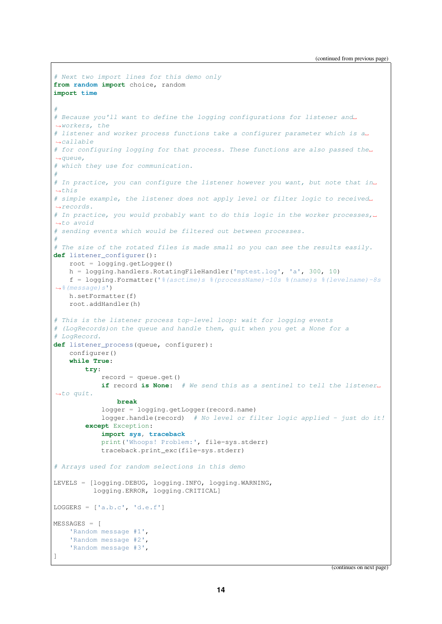```
# Next two import lines for this demo only
from random import choice, random
import time
#
# Because you'll want to define the logging configurations for listener and␣
,→workers, the
# listener and worker process functions take a configurer parameter which is a␣
,→callable
# for configuring logging for that process. These functions are also passed the␣
,→queue,
# which they use for communication.
#
# In practice, you can configure the listener however you want, but note that in␣
,→this
# simple example, the listener does not apply level or filter logic to received␣
,→records.
# In practice, you would probably want to do this logic in the worker processes,␣
,→to avoid
# sending events which would be filtered out between processes.
#
# The size of the rotated files is made small so you can see the results easily.
def listener_configurer():
   root = logging.getLogger()
   h = logging.handlers.RotatingFileHandler('mptest.log', 'a', 300, 10)
    f = logging.Formatter('%(asctime)s %(processName)-10s %(name)s %(levelname)-8s
,→%(message)s')
   h.setFormatter(f)
   root.addHandler(h)
# This is the listener process top-level loop: wait for logging events
# (LogRecords)on the queue and handle them, quit when you get a None for a
# LogRecord.
def listener_process(queue, configurer):
    configurer()
   while True:
        try:
            record = queue.get()
            if record is None: # We send this as a sentinel to tell the listener␣
,→to quit.
                break
            logger = logging.getLogger(record.name)
            logger.handle(record) # No level or filter logic applied - just do it!
        except Exception:
           import sys, traceback
           print('Whoops! Problem:', file=sys.stderr)
            traceback.print_exc(file=sys.stderr)
# Arrays used for random selections in this demo
LEVELS = [logging.DEBUG, logging.INFO, logging.WARNING,
          logging.ERROR, logging.CRITICAL]
LOGGERS = ['a.b.c', 'd.e.f']MESSAGES = [
   'Random message #1',
    'Random message #2',
    'Random message #3',
]
```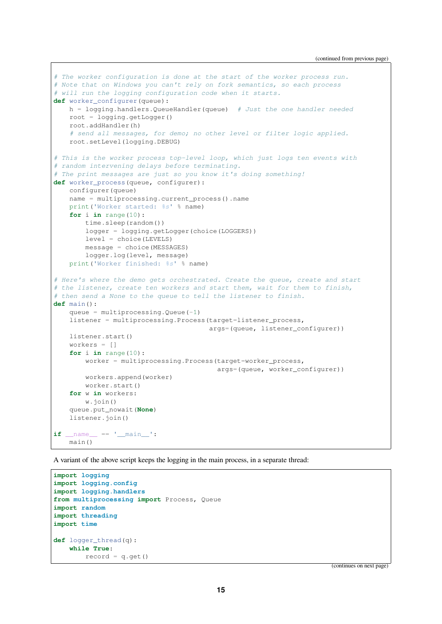```
# The worker configuration is done at the start of the worker process run.
# Note that on Windows you can't rely on fork semantics, so each process
# will run the logging configuration code when it starts.
def worker_configurer(queue):
   h = logging.handlers.QueueHandler(queue) # Just the one handler needed
   root = logging.getLogger()
   root.addHandler(h)
    # send all messages, for demo; no other level or filter logic applied.
   root.setLevel(logging.DEBUG)
# This is the worker process top-level loop, which just logs ten events with
# random intervening delays before terminating.
# The print messages are just so you know it's doing something!
def worker_process(queue, configurer):
   configurer(queue)
   name = multiprocessing.current_process().name
   print('Worker started: %s' % name)
    for i in range(10):
       time.sleep(random())
       logger = logging.getLogger(choice(LOGGERS))
       level = choice(LEVELS)
       message = choice(MESSAGES)
       logger.log(level, message)
    print('Worker finished: %s' % name)
# Here's where the demo gets orchestrated. Create the queue, create and start
# the listener, create ten workers and start them, wait for them to finish,
# then send a None to the queue to tell the listener to finish.
def main():
    queue = multiprocessing. Queue (-1)listener = multiprocessing.Process(target=listener_process,
                                       args=(queue, listener_configurer))
   listener.start()
    workers = []
    for i in range(10):
       worker = multiprocessing.Process(target=worker_process,
                                         args=(queue, worker_configurer))
       workers.append(worker)
       worker.start()
    for w in workers:
       w.join()
    queue.put_nowait(None)
    listener.join()
if __name__ == '__main__':
   main()
```
A variant of the above script keeps the logging in the main process, in a separate thread:

```
import logging
import logging.config
import logging.handlers
from multiprocessing import Process, Queue
import random
import threading
import time
def logger_thread(q):
   while True:
        record = q.get()
```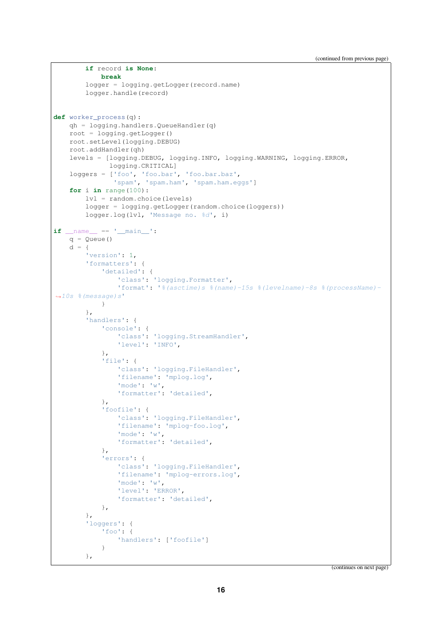```
if record is None:
            break
        logger = logging.getLogger(record.name)
        logger.handle(record)
def worker_process(q):
   qh = logging.handlers.QueueHandler(q)
    root = logging.getLogger()
    root.setLevel(logging.DEBUG)
    root.addHandler(qh)
    levels = [logging.DEBUG, logging.INFO, logging.WARNING, logging.ERROR,
              logging.CRITICAL]
    loggers = ['foo', 'foo.bar', 'foo.bar.baz',
                'spam', 'spam.ham', 'spam.ham.eggs']
    for i in range(100):
       lvl = random.choice(levels)
        logger = logging.getLogger(random.choice(loggers))
        logger.log(lvl, 'Message no. %d', i)
if name == ' main ':q = Queue()
    d = \{'version': 1,
        'formatters': {
            'detailed': {
                'class': 'logging.Formatter',
                'format': '%(asctime)s %(name)-15s %(levelname)-8s %(processName)-
,→10s %(message)s'
            }
        },
        'handlers': {
            'console': {
                'class': 'logging.StreamHandler',
                'level': 'INFO',
            },
            'file': {
                'class': 'logging.FileHandler',
                'filename': 'mplog.log',
                'mode': 'w',
                'formatter': 'detailed',
            },
            'foofile': {
                'class': 'logging.FileHandler',
                'filename': 'mplog-foo.log',
                'mode': 'w',
                'formatter': 'detailed',
            },
            'errors': {
                'class': 'logging.FileHandler',
                'filename': 'mplog-errors.log',
                'mode': 'w',
                'level': 'ERROR',
                'formatter': 'detailed',
            },
        },
        'loggers': {
            'foo': {
                'handlers': ['foofile']
            }
        },
```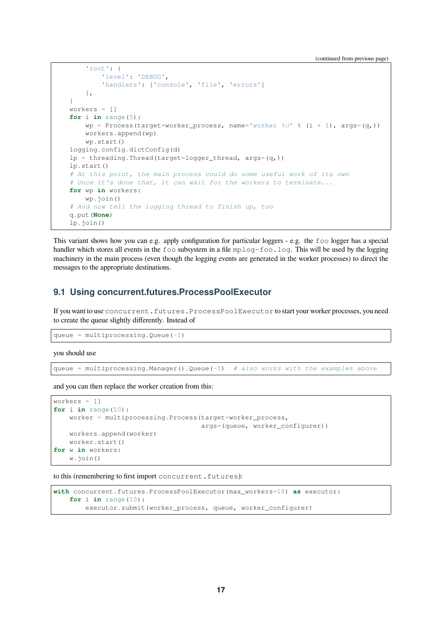(continued from previous page)

```
'root': {
        'level': 'DEBUG',
        'handlers': ['console', 'file', 'errors']
    },
}
workers = []
for i in range(5):
    wp = Process(target=worker_process, name='worker %d' % (i + 1), args=(q,))
    workers.append(wp)
    wp.start()
logging.config.dictConfig(d)
lp = threading.Thread(target=logger_thread, args=(q,))lp.start()
# At this point, the main process could do some useful work of its own
# Once it's done that, it can wait for the workers to terminate...
for wp in workers:
    wp.join()
# And now tell the logging thread to finish up, too
q.put(None)
lp.join()
```
This variant shows how you can e.g. apply configuration for particular loggers - e.g. the foo logger has a special handler which stores all events in the foo subsystem in a file mplog-foo.log. This will be used by the logging machinery in the main process (even though the logging events are generated in the worker processes) to direct the messages to the appropriate destinations.

#### <span id="page-16-0"></span>**9.1 Using concurrent.futures.ProcessPoolExecutor**

If you want to use concurrent.futures.ProcessPoolExecutor to start your worker processes, you need to create the queue slightly differently. Instead of

```
queue = multiprocessing. Queue(-1)
```
you should use

queue = multiprocessing.Manager().Queue(-1) *# also works with the examples above*

and you can then replace the worker creation from this:

```
workers = []
for i in range(10):
   worker = multiprocessing.Process(target=worker_process,
                                     args=(queue, worker_configurer))
    workers.append(worker)
    worker.start()
for w in workers:
    w.join()
```
to this (remembering to first import concurrent.futures):

```
with concurrent.futures.ProcessPoolExecutor(max_workers=10) as executor:
   for i in range(10):
        executor.submit(worker_process, queue, worker_configurer)
```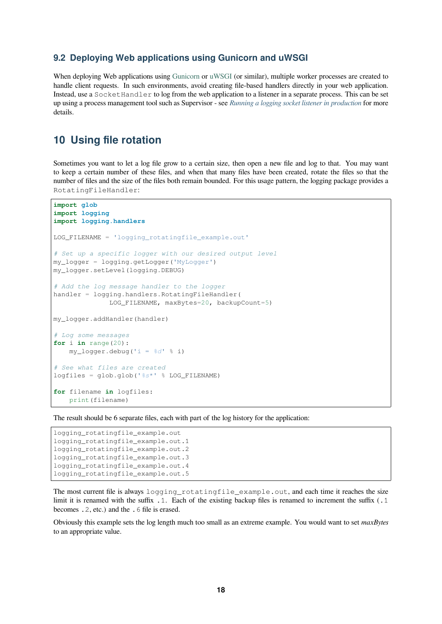#### **9.2 Deploying Web applications using Gunicorn and uWSGI**

<span id="page-17-0"></span>When deploying Web applications using Gunicorn or uWSGI (or similar), multiple worker processes are created to handle client requests. In such environments, avoid creating file-based handlers directly in your web application. Instead, use a SocketHandler to log from the web application to a listener in a separate process. This can be set up using a process management tool such as Supervisor - see *Running a logging socket listener in production* for more details.

## **10 Using file rotation**

<span id="page-17-1"></span>Sometimes you want to let a log file grow to a certain size, then open a new file and log to that. You may want to keep a certain number of these files, and when that many files have been created, rotate the files so that the number of files and the size of the files both remain bounded. For this usage pattern, the logging package provides a RotatingFileHandler:

```
import glob
import logging
import logging.handlers
LOG_FILENAME = 'logging_rotatingfile_example.out'
# Set up a specific logger with our desired output level
my_logger = logging.getLogger('MyLogger')
my_logger.setLevel(logging.DEBUG)
# Add the log message handler to the logger
handler = logging.handlers.RotatingFileHandler(
              LOG_FILENAME, maxBytes=20, backupCount=5)
my_logger.addHandler(handler)
# Log some messages
for i in range(20):
   my_logger.debug('i = %d' % i)
# See what files are created
logfiles = glob.glob('%s*' % LOG_FILENAME)
for filename in logfiles:
    print(filename)
```
The result should be 6 separate files, each with part of the log history for the application:

```
logging_rotatingfile_example.out
logging_rotatingfile_example.out.1
logging_rotatingfile_example.out.2
logging_rotatingfile_example.out.3
logging_rotatingfile_example.out.4
logging_rotatingfile_example.out.5
```
The most current file is always logging\_rotatingfile\_example.out, and each time it reaches the size limit it is renamed with the suffix  $\cdot$ . Each of the existing backup files is renamed to increment the suffix  $(\cdot, 1)$ becomes .2, etc.) and the .6 file is erased.

Obviously this example sets the log length much too small as an extreme example. You would want to set *maxBytes* to an appropriate value.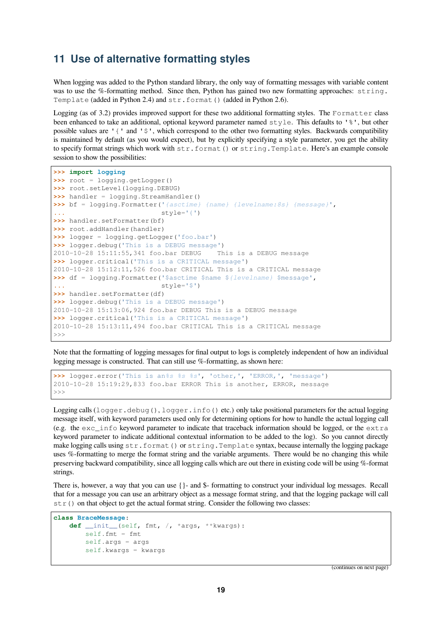#### <span id="page-18-0"></span>**11 Use of alternative formatting styles**

When logging was added to the Python standard library, the only way of formatting messages with variable content was to use the %-formatting method. Since then, Python has gained two new formatting approaches: string. Template (added in Python 2.4) and  $str.format()$  (added in Python 2.6).

Logging (as of 3.2) provides improved support for these two additional formatting styles. The Formatter class been enhanced to take an additional, optional keyword parameter named style. This defaults to '%', but other possible values are '{' and '\$', which correspond to the other two formatting styles. Backwards compatibility is maintained by default (as you would expect), but by explicitly specifying a style parameter, you get the ability to specify format strings which work with str.format() or string.Template. Here's an example console session to show the possibilities:

```
>>> import logging
>>> root = logging.getLogger()
>>> root.setLevel(logging.DEBUG)
>>> handler = logging.StreamHandler()
>>> bf = logging.Formatter('{asctime} {name} {levelname:8s} {message}',
... style='{')
>>> handler.setFormatter(bf)
>>> root.addHandler(handler)
>>> logger = logging.getLogger('foo.bar')
>>> logger.debug('This is a DEBUG message')
2010-10-28 15:11:55,341 foo.bar DEBUG This is a DEBUG message
>>> logger.critical('This is a CRITICAL message')
2010-10-28 15:12:11,526 foo.bar CRITICAL This is a CRITICAL message
>>> df = logging.Formatter('$asctime $name ${levelname} $message',
... style='$')
>>> handler.setFormatter(df)
>>> logger.debug('This is a DEBUG message')
2010-10-28 15:13:06,924 foo.bar DEBUG This is a DEBUG message
>>> logger.critical('This is a CRITICAL message')
2010-10-28 15:13:11,494 foo.bar CRITICAL This is a CRITICAL message
>>>
```
Note that the formatting of logging messages for final output to logs is completely independent of how an individual logging message is constructed. That can still use %-formatting, as shown here:

**>>>** logger.error('This is an*%s %s %s*', 'other,', 'ERROR,', 'message') 2010-10-28 15:19:29,833 foo.bar ERROR This is another, ERROR, message  $\rightarrow$ 

Logging calls  $(\log_{\text{ger}} \cdot \deg_{\text{car}})$ ,  $\log_{\text{ger}} \cdot \inf_{\text{of}} (\text{etc.})$  only take positional parameters for the actual logging message itself, with keyword parameters used only for determining options for how to handle the actual logging call (e.g. the exc\_info keyword parameter to indicate that traceback information should be logged, or the extra keyword parameter to indicate additional contextual information to be added to the log). So you cannot directly make logging calls using  $str.format()$  or  $string.Temblate$  syntax, because internally the logging package uses %-formatting to merge the format string and the variable arguments. There would be no changing this while preserving backward compatibility, since all logging calls which are out there in existing code will be using %-format strings.

There is, however, a way that you can use {}- and \$- formatting to construct your individual log messages. Recall that for a message you can use an arbitrary object as a message format string, and that the logging package will call  $str()$  on that object to get the actual format string. Consider the following two classes:

```
class BraceMessage:
   def __init__(self, fmt, /, *args, **kwargs):
       self.fmt = fmt
       self.args = args
       self.kwargs = kwargs
```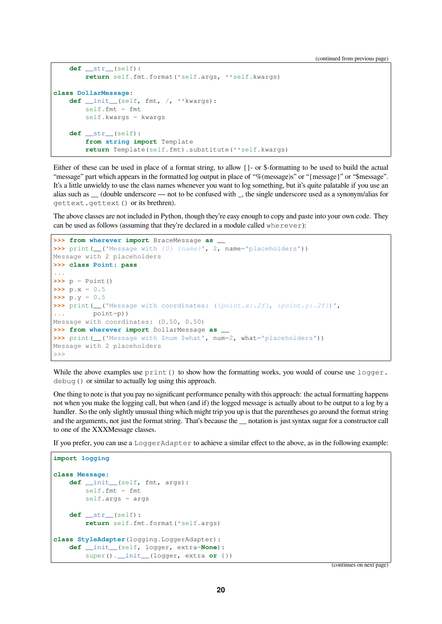```
def __str__(self):
       return self.fmt.format(*self.args, **self.kwargs)
class DollarMessage:
   def __init__(self, fmt, /, **kwargs):
       self.fmt = fmt
       self.kwargs = kwargs
    def __str__(self):
        from string import Template
        return Template(self.fmt).substitute(**self.kwargs)
```
Either of these can be used in place of a format string, to allow {}- or \$-formatting to be used to build the actual "message" part which appears in the formatted log output in place of "%(message)s" or "{message}" or "\$message". It's a little unwieldy to use the class names whenever you want to log something, but it's quite palatable if you use an alias such as \_\_ (double underscore — not to be confused with \_, the single underscore used as a synonym/alias for gettext.gettext() or its brethren).

The above classes are not included in Python, though they're easy enough to copy and paste into your own code. They can be used as follows (assuming that they're declared in a module called wherever):

```
>>> from wherever import BraceMessage as __
>>> print(__('Message with {0} {name}', 2, name='placeholders'))
Message with 2 placeholders
>>> class Point: pass
...
\Rightarrow \Rightarrow p = Point()\Rightarrow \Rightarrow p.x = 0.5\Rightarrow p.y = 0.5
>>> print(__('Message with coordinates: ({point.x:.2f}, {point.y:.2f})',
... point=p))
Message with coordinates: (0.50, 0.50)
>>> from wherever import DollarMessage as __
>>> print (__('Message with $num $what', num=2, what='placeholders'))
Message with 2 placeholders
>>>
```
While the above examples use  $print()$  to show how the formatting works, you would of course use  $logqer$ . debug() or similar to actually log using this approach.

One thing to note is that you pay no significant performance penalty with this approach: the actual formatting happens not when you make the logging call, but when (and if) the logged message is actually about to be output to a log by a handler. So the only slightly unusual thing which might trip you up is that the parentheses go around the format string and the arguments, not just the format string. That's because the <u>motation</u> is just syntax sugar for a constructor call to one of the XXXMessage classes.

If you prefer, you can use a LoggerAdapter to achieve a similar effect to the above, as in the following example:

```
import logging
class Message:
    def __init__(self, fmt, args):
        self.fmt = fmt
        self.args = args
    def __str__(self):
       return self.fmt.format(*self.args)
class StyleAdapter(logging.LoggerAdapter):
    def __init__(self, logger, extra=None):
       super().__init_(logger, extra or {})
```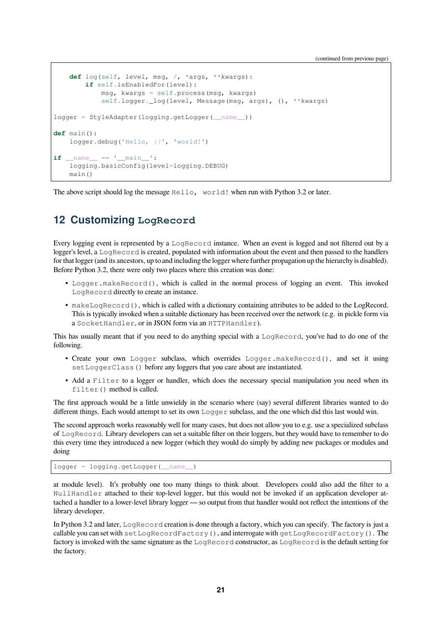(continued from previous page)

```
def log(self, level, msg, /, *args, **kwargs):
        if self.isEnabledFor(level):
           msg, kwargs = self.process(msg, kwargs)
            self.logger._log(level, Message(msg, args), (), **kwargs)
logger = StyleAdapter(logging.getLogger(__name__))
def main():
   logger.debug('Hello, {}', 'world!')
if __name__ == '__main__':
    logging.basicConfig(level=logging.DEBUG)
    main()
```
The above script should log the message  $Hello, word!$  when run with Python 3.2 or later.

#### <span id="page-20-0"></span>**12 Customizing LogRecord**

Every logging event is represented by a LogRecord instance. When an event is logged and not filtered out by a logger's level, a LogRecord is created, populated with information about the event and then passed to the handlers for that logger (and its ancestors, up to and including the logger where further propagation up the hierarchy is disabled). Before Python 3.2, there were only two places where this creation was done:

- Logger.makeRecord(), which is called in the normal process of logging an event. This invoked LogRecord directly to create an instance.
- makeLogRecord(), which is called with a dictionary containing attributes to be added to the LogRecord. This is typically invoked when a suitable dictionary has been received over the network (e.g. in pickle form via a SocketHandler, or in JSON form via an HTTPHandler).

This has usually meant that if you need to do anything special with a LogRecord, you've had to do one of the following.

- Create your own Logger subclass, which overrides Logger.makeRecord(), and set it using setLoggerClass() before any loggers that you care about are instantiated.
- Add a Filter to a logger or handler, which does the necessary special manipulation you need when its filter() method is called.

The first approach would be a little unwieldy in the scenario where (say) several different libraries wanted to do different things. Each would attempt to set its own Logger subclass, and the one which did this last would win.

The second approach works reasonably well for many cases, but does not allow you to e.g. use a specialized subclass of LogRecord. Library developers can set a suitable filter on their loggers, but they would have to remember to do this every time they introduced a new logger (which they would do simply by adding new packages or modules and doing

```
logger = logging.getLogger( name
```
at module level). It's probably one too many things to think about. Developers could also add the filter to a NullHandler attached to their top-level logger, but this would not be invoked if an application developer attached a handler to a lower-level library logger — so output from that handler would not reflect the intentions of the library developer.

In Python 3.2 and later, LogRecord creation is done through a factory, which you can specify. The factory is just a callable you can set with setLogRecordFactory(), and interrogate with getLogRecordFactory(). The factory is invoked with the same signature as the LogRecord constructor, as LogRecord is the default setting for the factory.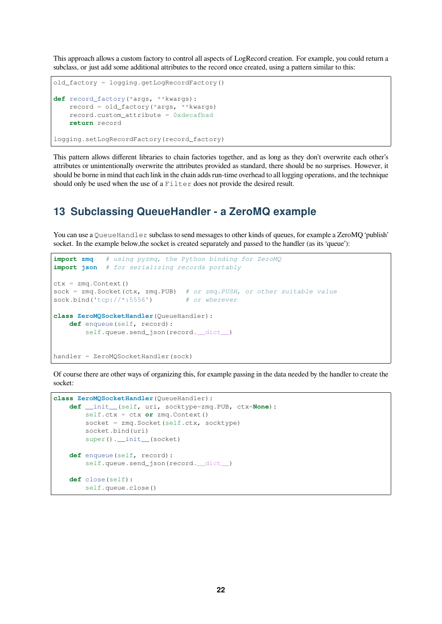This approach allows a custom factory to control all aspects of LogRecord creation. For example, you could return a subclass, or just add some additional attributes to the record once created, using a pattern similar to this:

```
old_factory = logging.getLogRecordFactory()
def record_factory(*args, **kwargs):
   record = old_factory(*args, **kwargs)
   record.custom_attribute = 0xdecafbad
   return record
logging.setLogRecordFactory(record_factory)
```
This pattern allows different libraries to chain factories together, and as long as they don't overwrite each other's attributes or unintentionally overwrite the attributes provided as standard, there should be no surprises. However, it should be borne in mind that each link in the chain adds run-time overhead to all logging operations, and the technique should only be used when the use of a Filter does not provide the desired result.

#### <span id="page-21-0"></span>**13 Subclassing QueueHandler - a ZeroMQ example**

You can use a QueueHandler subclass to send messages to other kinds of queues, for example a ZeroMO 'publish' socket. In the example below, the socket is created separately and passed to the handler (as its 'queue'):

```
import zmq # using pyzmq, the Python binding for ZeroMQ
import json # for serializing records portably
ctx = zmq.Context()
sock = zmq.Socket(ctx, zmq.PUB) # or zmq.PUSH, or other suitable value
sock.bind('tcp://*:5556') # or wherever
class ZeroMQSocketHandler(QueueHandler):
   def enqueue(self, record):
       self.queue.send_json(record. __dict__)
handler = ZeroMQSocketHandler(sock)
```
Of course there are other ways of organizing this, for example passing in the data needed by the handler to create the socket:

```
class ZeroMQSocketHandler(QueueHandler):
   def __init__(self, uri, socktype=zmq.PUB, ctx=None):
       self.ctx = ctx or zmq.Context()
       socket = zmq.Socket(self.ctx, socktype)
       socket.bind(uri)
       super().__init__(socket)
   def enqueue(self, record):
       self.queue.send_json(record.__dict__)
   def close(self):
        self.queue.close()
```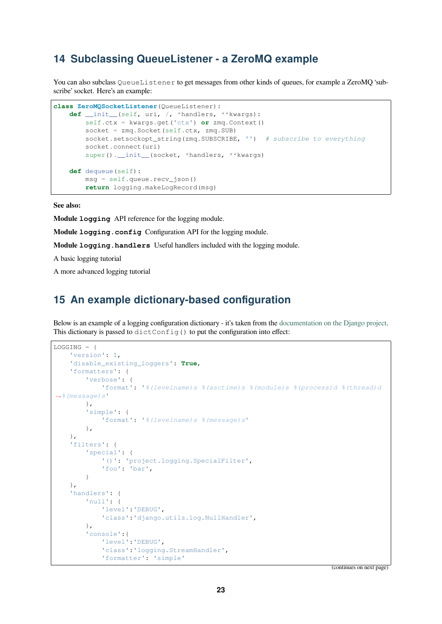## **14 Subclassing QueueListener - a ZeroMQ example**

<span id="page-22-0"></span>You can also subclass QueueListener to get messages from other kinds of queues, for example a ZeroMQ 'subscribe' socket. Here's an example:

```
class ZeroMQSocketListener(QueueListener):
   def __init__(self, uri, /, *handlers, **kwargs):
       self.ctx = kwargs.get('ctx') or zmq.Context()
       socket = zmq.Socket(self.ctx, zmq.SUB)
       socket.setsockopt_string(zmq.SUBSCRIBE, '') # subscribe to everything
       socket.connect(uri)
       super().__init__(socket, *handlers, **kwargs)
   def dequeue(self):
       msg = self.queue.recv_json()
       return logging.makeLogRecord(msg)
```
**See also:**

**Module logging** API reference for the logging module.

**Module logging.config** Configuration API for the logging module.

**Module logging.handlers** Useful handlers included with the logging module.

A basic logging tutorial

A more advanced logging tutorial

## **15 An example dictionary-based configuration**

<span id="page-22-1"></span>Below is an example of a logging configuration dictionary - it's taken from the documentation on the Django project. This dictionary is passed to  $\text{dictConfig}$ () to put the configuration into effect:

```
LOGGING = \{'version': 1,
    'disable_existing_loggers': True,
    'formatters': {
        'verbose': {
            'format': '%(levelname)s %(asctime)s %(module)s %(process)d %(thread)d
,→%(message)s'
        },
        'simple': {
            'format': '%(levelname)s %(message)s'
        },
    },
    'filters': {
        'special': {
            '()': 'project.logging.SpecialFilter',
            'foo': 'bar',
        }
    },
    'handlers': {
        'null': {
            'level':'DEBUG',
            'class':'django.utils.log.NullHandler',
        },
        'console':{
            'level':'DEBUG',
            'class':'logging.StreamHandler',
            'formatter': 'simple'
```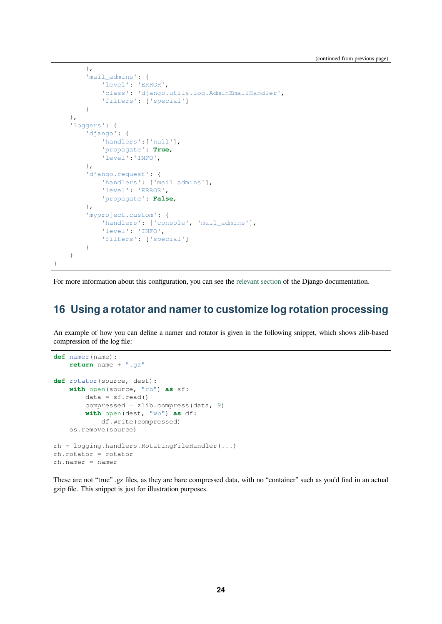```
},
        'mail_admins': {
            'level': 'ERROR',
            'class': 'django.utils.log.AdminEmailHandler',
            'filters': ['special']
        }
   },
    'loggers': {
        'django': {
            'handlers':['null'],
            'propagate': True,
            'level':'INFO',
        },
        'django.request': {
            'handlers': ['mail_admins'],
            'level': 'ERROR',
            'propagate': False,
        },
        'myproject.custom': {
            'handlers': ['console', 'mail_admins'],
            'level': 'INFO',
            'filters': ['special']
        }
   }
}
```
For more information about this configuration, you can see the relevant section of the Django documentation.

## **16 Using a rotator and namer to cus[tomize log](https://docs.djangoproject.com/en/stable/topics/logging/#configuring-logging) rotation processing**

An example of how you can define a namer and rotator is given in the following snippet, which shows zlib-based compression of the log file:

```
def namer(name):
   return name + ".gz"
def rotator(source, dest):
   with open(source, "rb") as sf:
       data = sf.read()compressed = zlib.compress (data, 9)with open(dest, "wb") as df:
           df.write(compressed)
   os.remove(source)
rh = logging.handlers.RotatingFileHandler(...)
rh.rotator = rotator
rh.namer = namer
```
These are not "true" .gz files, as they are bare compressed data, with no "container" such as you'd find in an actual gzip file. This snippet is just for illustration purposes.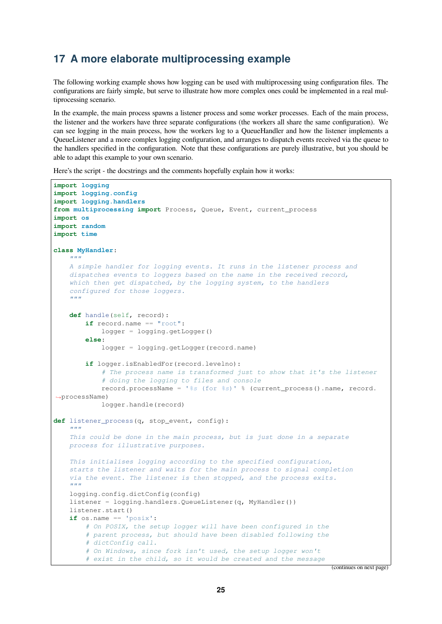## **17 A more elaborate multiprocessing example**

The following working example shows how logging can be used with multiprocessing using configuration files. The configurations are fairly simple, but serve to illustrate how more complex ones could be implemented in a real multiprocessing scenario.

In the example, the main process spawns a listener process and some worker processes. Each of the main process, the listener and the workers have three separate configurations (the workers all share the same configuration). We can see logging in the main process, how the workers log to a QueueHandler and how the listener implements a QueueListener and a more complex logging configuration, and arranges to dispatch events received via the queue to the handlers specified in the configuration. Note that these configurations are purely illustrative, but you should be able to adapt this example to your own scenario.

Here's the script - the docstrings and the comments hopefully explain how it works:

```
import logging
import logging.config
import logging.handlers
from multiprocessing import Process, Queue, Event, current_process
import os
import random
import time
class MyHandler:
    """
   A simple handler for logging events. It runs in the listener process and
    dispatches events to loggers based on the name in the received record,
    which then get dispatched, by the logging system, to the handlers
    configured for those loggers.
    """
    def handle(self, record):
        if record.name == "root":
            logger = logging.getLogger()
        else:
            logger = logging.getLogger(record.name)
        if logger.isEnabledFor(record.levelno):
            # The process name is transformed just to show that it's the listener
            # doing the logging to files and console
            record.processName = '%s (for %s)' % (current_process().name, record.
,→processName)
            logger.handle(record)
def listener_process(q, stop_event, config):
    """
    This could be done in the main process, but is just done in a separate
    process for illustrative purposes.
    This initialises logging according to the specified configuration,
    starts the listener and waits for the main process to signal completion
    via the event. The listener is then stopped, and the process exits.
    """
    logging.config.dictConfig(config)
    listener = logging.handlers.QueueListener(q, MyHandler())
    listener.start()
    if os.name == 'posix':
       # On POSIX, the setup logger will have been configured in the
        # parent process, but should have been disabled following the
        # dictConfig call.
        # On Windows, since fork isn't used, the setup logger won't
        # exist in the child, so it would be created and the message
```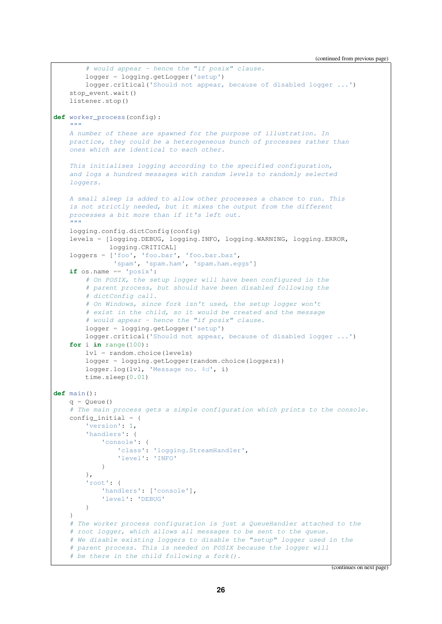```
# would appear - hence the "if posix" clause.
        logger = logging.getLogger('setup')
        logger.critical('Should not appear, because of disabled logger ...')
    stop_event.wait()
    listener.stop()
def worker_process(config):
    """
    A number of these are spawned for the purpose of illustration. In
    practice, they could be a heterogeneous bunch of processes rather than
    ones which are identical to each other.
    This initialises logging according to the specified configuration,
    and logs a hundred messages with random levels to randomly selected
    loggers.
    A small sleep is added to allow other processes a chance to run. This
    is not strictly needed, but it mixes the output from the different
   processes a bit more than if it's left out.
    """
    logging.config.dictConfig(config)
    levels = [logging.DEBUG, logging.INFO, logging.WARNING, logging.ERROR,
             logging.CRITICAL]
    loggers = ['foo', 'foo.bar', 'foo.bar.baz',
               'spam', 'spam.ham', 'spam.ham.eggs']
    if os.name == 'posix':
       # On POSIX, the setup logger will have been configured in the
        # parent process, but should have been disabled following the
        # dictConfig call.
        # On Windows, since fork isn't used, the setup logger won't
        # exist in the child, so it would be created and the message
        # would appear - hence the "if posix" clause.
        logger = logging.getLogger('setup')
       logger.critical('Should not appear, because of disabled logger ...')
    for i in range(100):
        lvl = random.choice(levels)
        logger = logging.getLogger(random.choice(loggers))
       logger.log(lvl, 'Message no. %d', i)
       time.sleep(0.01)
def main():
   q = Queue()
    # The main process gets a simple configuration which prints to the console.
    config_initial = \{'version': 1,
        'handlers': {
            'console': {
                'class': 'logging.StreamHandler',
                'level': 'INFO'
            }
        },
        'root': {
            'handlers': ['console'],
            'level': 'DEBUG'
        }
    }
    # The worker process configuration is just a QueueHandler attached to the
    # root logger, which allows all messages to be sent to the queue.
    # We disable existing loggers to disable the "setup" logger used in the
    # parent process. This is needed on POSIX because the logger will
    # be there in the child following a fork().
```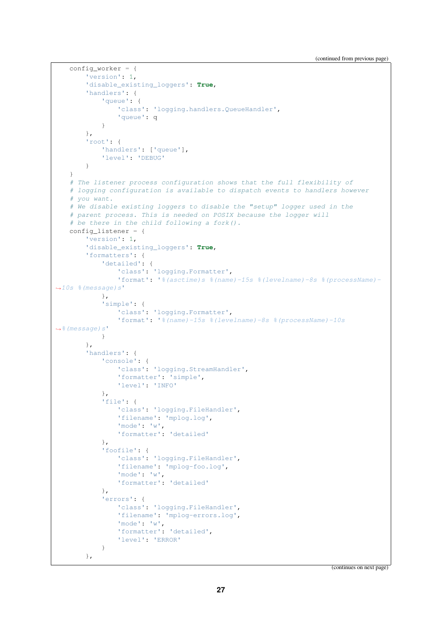```
config_worker = {
       'version': 1,
       'disable_existing_loggers': True,
       'handlers': {
            'aueue': {
                'class': 'logging.handlers.QueueHandler',
                'queue': q
            }
       },
        'root': {
            'handlers': ['queue'],
            'level': 'DEBUG'
       }
   }
   # The listener process configuration shows that the full flexibility of
   # logging configuration is available to dispatch events to handlers however
   # you want.
   # We disable existing loggers to disable the "setup" logger used in the
   # parent process. This is needed on POSIX because the logger will
   # be there in the child following a fork().
   config_listener = {
       'version': 1,
       'disable_existing_loggers': True,
       'formatters': {
            'detailed': {
                'class': 'logging.Formatter',
                'format': '%(asctime)s %(name)-15s %(levelname)-8s %(processName)-
,→10s %(message)s'
           },
            'simple': {
                'class': 'logging.Formatter',
                'format': '%(name)-15s %(levelname)-8s %(processName)-10s
,→%(message)s'
            }
       },
        'handlers': {
            'console': {
                'class': 'logging.StreamHandler',
                'formatter': 'simple',
                'level': 'INFO'
            },
            'file': {
                'class': 'logging.FileHandler',
                'filename': 'mplog.log',
                'mode': 'w',
                'formatter': 'detailed'
            },
            'foofile': {
                'class': 'logging.FileHandler',
                'filename': 'mplog-foo.log',
                'mode': 'w',
                'formatter': 'detailed'
            },
            'errors': {
                'class': 'logging.FileHandler',
                'filename': 'mplog-errors.log',
                'mode': 'w',
                'formatter': 'detailed',
                'level': 'ERROR'
            }
       },
```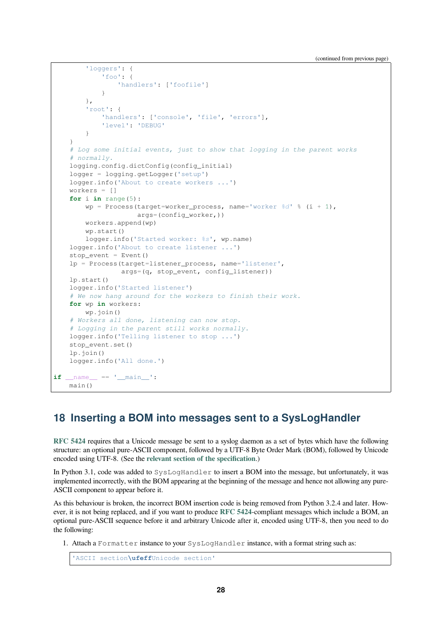```
'loggers': {
            'foo': {
               'handlers': ['foofile']
            }
        },
        'root': {
            'handlers': ['console', 'file', 'errors'],
            'level': 'DEBUG'
        }
    }
    # Log some initial events, just to show that logging in the parent works
    # normally.
    logging.config.dictConfig(config_initial)
    logger = logging.getLogger('setup')
    logger.info('About to create workers ...')
    workers = []
    for i in range(5):
        wp = Process(target=worker_process, name='worker %d' % (i + 1),
                    args=(config_worker,))
        workers.append(wp)
        wp.start()
       logger.info('Started worker: %s', wp.name)
    logger.info('About to create listener ...')
    stop\_event = Event()lp = Process(target=listener_process, name='listener',
                 args=(q, stop_event, config_listener))
    lp.start()
    logger.info('Started listener')
    # We now hang around for the workers to finish their work.
   for wp in workers:
       wp.join()
    # Workers all done, listening can now stop.
    # Logging in the parent still works normally.
    logger.info('Telling listener to stop ...')
   stop_event.set()
    lp.join()
    logger.info('All done.')
if __name__ == '__main__':
    main()
```
## **18 Inserting a BOM into messages sent to a SysLogHandler**

<span id="page-27-0"></span>**RFC 5424** requires that a Unicode message be sent to a syslog daemon as a set of bytes which have the following structure: an optional pure-ASCII component, followed by a UTF-8 Byte Order Mark (BOM), followed by Unicode encoded using UTF-8. (See the **relevant section of the specification**.)

In Python 3.1, code was added to SysLogHandler to insert a BOM into the message, but unfortunately, it was [implemente](https://tools.ietf.org/html/rfc5424.html)d incorrectly, with the BOM appearing at the beginning of the message and hence not allowing any pure-ASCII component to appear bef[ore it.](https://tools.ietf.org/html/rfc5424.html#section-6)

As this behaviour is broken, the incorrect BOM insertion code is being removed from Python 3.2.4 and later. However, it is not being replaced, and if you want to produce **RFC 5424**-compliant messages which include a BOM, an optional pure-ASCII sequence before it and arbitrary Unicode after it, encoded using UTF-8, then you need to do the following:

1. Attach a Formatter instance to your SysLogH[andler](https://tools.ietf.org/html/rfc5424.html) instance, with a format string such as:

```
'ASCII section\ufeffUnicode section'
```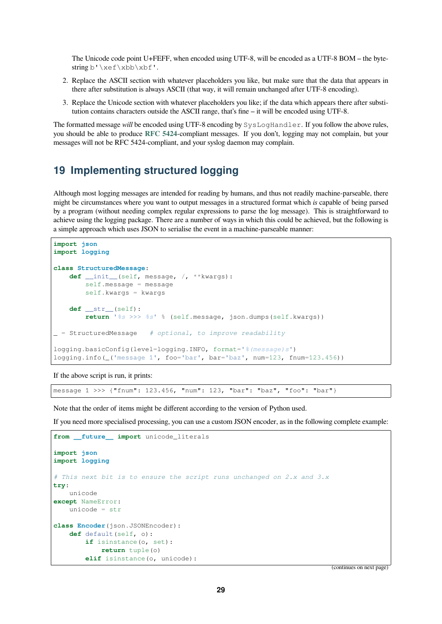The Unicode code point U+FEFF, when encoded using UTF-8, will be encoded as a UTF-8 BOM – the bytestring b'\xef\xbb\xbf'.

- 2. Replace the ASCII section with whatever placeholders you like, but make sure that the data that appears in there after substitution is always ASCII (that way, it will remain unchanged after UTF-8 encoding).
- 3. Replace the Unicode section with whatever placeholders you like; if the data which appears there after substitution contains characters outside the ASCII range, that's fine – it will be encoded using UTF-8.

The formatted message *will* be encoded using UTF-8 encoding by SysLogHandler. If you follow the above rules, you should be able to produce **RFC 5424**-compliant messages. If you don't, logging may not complain, but your messages will not be RFC 5424-compliant, and your syslog daemon may complain.

## **19 Implementing [structu](https://tools.ietf.org/html/rfc5424.html)red logging**

<span id="page-28-0"></span>Although most logging messages are intended for reading by humans, and thus not readily machine-parseable, there might be circumstances where you want to output messages in a structured format which *is* capable of being parsed by a program (without needing complex regular expressions to parse the log message). This is straightforward to achieve using the logging package. There are a number of ways in which this could be achieved, but the following is a simple approach which uses JSON to serialise the event in a machine-parseable manner:

```
import json
import logging
class StructuredMessage:
   def __init__(self, message, /, **kwargs):
       self.message = message
       self.kwargs = kwargs
   def __str__(self):
        return '%s >>> %s' % (self.message, json.dumps(self.kwargs))
 _ = StructuredMessage # optional, to improve readability
logging.basicConfig(level=logging.INFO, format='%(message)s')
logging.info(_('message 1', foo='bar', bar='baz', num=123, fnum=123.456))
```
If the above script is run, it prints:

message 1 >>> {"fnum": 123.456, "num": 123, "bar": "baz", "foo": "bar"}

Note that the order of items might be different according to the version of Python used.

If you need more specialised processing, you can use a custom JSON encoder, as in the following complete example:

```
from future import unicode literals
import json
import logging
# This next bit is to ensure the script runs unchanged on 2.x and 3.x
try:
   unicode
except NameError:
   unicode = str
class Encoder(json.JSONEncoder):
   def default(self, o):
        if isinstance(o, set):
            return tuple(o)
        elif isinstance(o, unicode):
```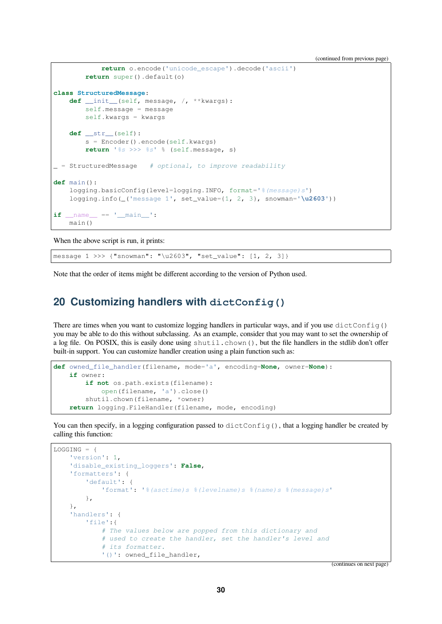```
(continued from previous page)
```

```
return o.encode('unicode_escape').decode('ascii')
        return super().default(o)
class StructuredMessage:
   def __init__(self, message, /, **kwargs):
       self.message = message
       self.kwargs = kwargs
    def __str__(self):
        s = Encoder().encode(self.kwargs)
        return '%s >>> %s' % (self.message, s)
_ = StructuredMessage # optional, to improve readability
def main():
    logging.basicConfig(level=logging.INFO, format='%(message)s')
    logging.info(_('message 1', set_value={1, 2, 3}, snowman='\u2603'))
if __name__ == '__main__':
   main()
```
When the above script is run, it prints:

message 1 >>> {"snowman": "\u2603", "set\_value": [1, 2, 3]}

Note that the order of items might be different according to the version of Python used.

#### <span id="page-29-0"></span>**20 Customizing handlers with dictConfig()**

There are times when you want to customize logging handlers in particular ways, and if you use  $distContinu$  () you may be able to do this without subclassing. As an example, consider that you may want to set the ownership of a log file. On POSIX, this is easily done using shutil.chown(), but the file handlers in the stdlib don't offer built-in support. You can customize handler creation using a plain function such as:

```
def owned_file_handler(filename, mode='a', encoding=None, owner=None):
    if owner:
       if not os.path.exists(filename):
           open(filename, 'a').close()
        shutil.chown(filename, *owner)
    return logging.FileHandler(filename, mode, encoding)
```
You can then specify, in a logging configuration passed to dictConfig(), that a logging handler be created by calling this function:

```
LOGCING = {'version': 1,
    'disable_existing_loggers': False,
    'formatters': {
        'default': {
            'format': '%(asctime)s %(levelname)s %(name)s %(message)s'
        },
    },
    'handlers': {
        'file':{
            # The values below are popped from this dictionary and
            # used to create the handler, set the handler's level and
            # its formatter.
            '()': owned_file_handler,
```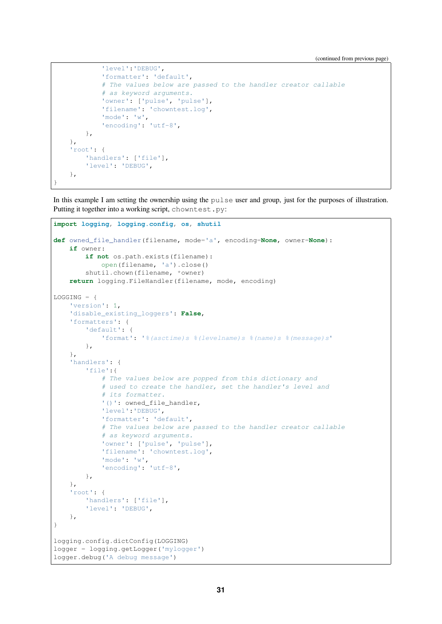```
'level':'DEBUG',
            'formatter': 'default',
            # The values below are passed to the handler creator callable
            # as keyword arguments.
            'owner': ['pulse', 'pulse'],
            'filename': 'chowntest.log',
            'mode': 'w',
            'encoding': 'utf-8',
       },
   },
    'root': {
        'handlers': ['file'],
        'level': 'DEBUG',
   },
}
```
In this example I am setting the ownership using the pulse user and group, just for the purposes of illustration. Putting it together into a working script, chowntest.py:

```
import logging, logging.config, os, shutil
def owned_file_handler(filename, mode='a', encoding=None, owner=None):
    if owner:
        if not os.path.exists(filename):
            open(filename, 'a').close()
        shutil.chown(filename, *owner)
    return logging.FileHandler(filename, mode, encoding)
LOGGING = {
    'version': 1,
    'disable_existing_loggers': False,
    'formatters': {
        'default': {
            'format': '%(asctime)s %(levelname)s %(name)s %(message)s'
        },
    },
    'handlers': {
        'file':{
            # The values below are popped from this dictionary and
            # used to create the handler, set the handler's level and
            # its formatter.
            '()': owned_file_handler,
            'level':'DEBUG',
            'formatter': 'default',
            # The values below are passed to the handler creator callable
            # as keyword arguments.
            'owner': ['pulse', 'pulse'],
            'filename': 'chowntest.log',
            'mode': 'w',
            'encoding': 'utf-8',
        },
    },
    'root': {
        'handlers': ['file'],
        'level': 'DEBUG',
    },
}
logging.config.dictConfig(LOGGING)
logger = logging.getLogger('mylogger')
logger.debug('A debug message')
```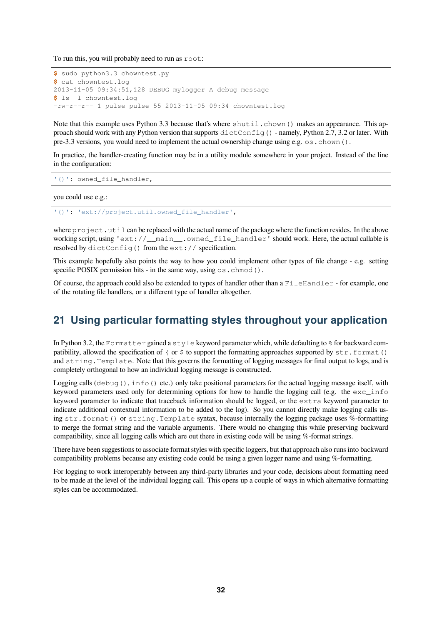To run this, you will probably need to run as root:

```
$ sudo python3.3 chowntest.py
$ cat chowntest.log
2013-11-05 09:34:51,128 DEBUG mylogger A debug message
$ ls -l chowntest.log
-rw-r--r-- 1 pulse pulse 55 2013-11-05 09:34 chowntest.log
```
Note that this example uses Python 3.3 because that's where shutil.chown() makes an appearance. This approach should work with any Python version that supports dictConfig() - namely, Python 2.7, 3.2 or later. With pre-3.3 versions, you would need to implement the actual ownership change using e.g. os.chown().

In practice, the handler-creating function may be in a utility module somewhere in your project. Instead of the line in the configuration:

'()': owned file handler,

you could use e.g.:

'()': 'ext://project.util.owned\_file\_handler',

where  $\text{project}$ . util can be replaced with the actual name of the package where the function resides. In the above working script, using 'ext://\_\_main\_\_.owned\_file\_handler' should work. Here, the actual callable is resolved by dictConfig() from the ext:// specification.

This example hopefully also points the way to how you could implement other types of file change - e.g. setting specific POSIX permission bits - in the same way, using  $\circ$  s. chmod().

Of course, the approach could also be extended to types of handler other than a  $F\text{i}$ leHandler - for example, one of the rotating file handlers, or a different type of handler altogether.

## <span id="page-31-0"></span>**21 Using particular formatting styles throughout your application**

In Python 3.2, the Formatter gained a style keyword parameter which, while defaulting to % for backward compatibility, allowed the specification of { or  $\frac{1}{2}$  to support the formatting approaches supported by str.format() and string.Template. Note that this governs the formatting of logging messages for final output to logs, and is completely orthogonal to how an individual logging message is constructed.

Logging calls (debug(), info() etc.) only take positional parameters for the actual logging message itself, with keyword parameters used only for determining options for how to handle the logging call (e.g. the exc\_info keyword parameter to indicate that traceback information should be logged, or the extra keyword parameter to indicate additional contextual information to be added to the log). So you cannot directly make logging calls using str.format() or string.Template syntax, because internally the logging package uses %-formatting to merge the format string and the variable arguments. There would no changing this while preserving backward compatibility, since all logging calls which are out there in existing code will be using %-format strings.

There have been suggestions to associate format styles with specific loggers, but that approach also runs into backward compatibility problems because any existing code could be using a given logger name and using %-formatting.

For logging to work interoperably between any third-party libraries and your code, decisions about formatting need to be made at the level of the individual logging call. This opens up a couple of ways in which alternative formatting styles can be accommodated.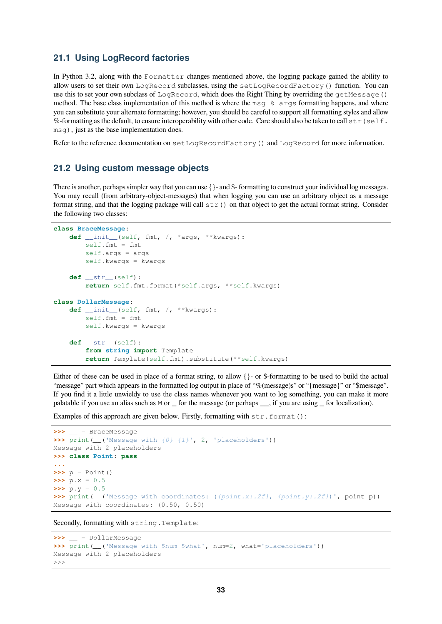#### <span id="page-32-0"></span>**21.1 Using LogRecord factories**

In Python 3.2, along with the Formatter changes mentioned above, the logging package gained the ability to allow users to set their own LogRecord subclasses, using the setLogRecordFactory() function. You can use this to set your own subclass of LogRecord, which does the Right Thing by overriding the getMessage() method. The base class implementation of this method is where the msq  $\frac{1}{2}$  args formatting happens, and where you can substitute your alternate formatting; however, you should be careful to support all formatting styles and allow %-formatting as the default, to ensure interoperability with other code. Care should also be taken to call  $str(self.$ msg), just as the base implementation does.

Refer to the reference documentation on setLogRecordFactory() and LogRecord for more information.

#### <span id="page-32-1"></span>**21.2 Using custom message objects**

There is another, perhaps simpler way that you can use {}- and \$- formatting to construct your individual log messages. You may recall (from arbitrary-object-messages) that when logging you can use an arbitrary object as a message format string, and that the logging package will call  $str()$  on that object to get the actual format string. Consider the following two classes:

```
class BraceMessage:
```

```
def __init__(self, fmt, /, *args, **kwargs):
        self.fmt = fmt
       self.args = args
       self.kwargs = kwargs
    def __str__(self):
        return self.fmt.format(*self.args, **self.kwargs)
class DollarMessage:
    def __init__(self, fmt, /, **kwargs):
       self.fmt = fmt
       self.kwargs = kwargs
    def __str__(self):
       from string import Template
        return Template(self.fmt).substitute(**self.kwargs)
```
Either of these can be used in place of a format string, to allow {}- or \$-formatting to be used to build the actual "message" part which appears in the formatted log output in place of "%(message)s" or "{message}" or "\$message". If you find it a little unwieldy to use the class names whenever you want to log something, you can make it more palatable if you use an alias such as M or  $\bar{r}$  for the message (or perhaps  $\bar{r}$ , if you are using  $\bar{r}$  for localization).

Examples of this approach are given below. Firstly, formatting with str.format():

```
>>> __ = BraceMessage
>>> print(__('Message with {0} {1}', 2, 'placeholders'))
Message with 2 placeholders
>>> class Point: pass
...
\Rightarrow \Rightarrow p = Point()\Rightarrow \Rightarrow p \cdot x = 0.5\Rightarrow \Rightarrow p \cdot y = 0.5>>> print(__('Message with coordinates: ({point.x:.2f}, {point.y:.2f})', point=p))
Message with coordinates: (0.50, 0.50)
```
Secondly, formatting with string. Template:

```
>>> __ = DollarMessage
>>> print(__('Message with $num $what', num=2, what='placeholders'))
Message with 2 placeholders
>>>
```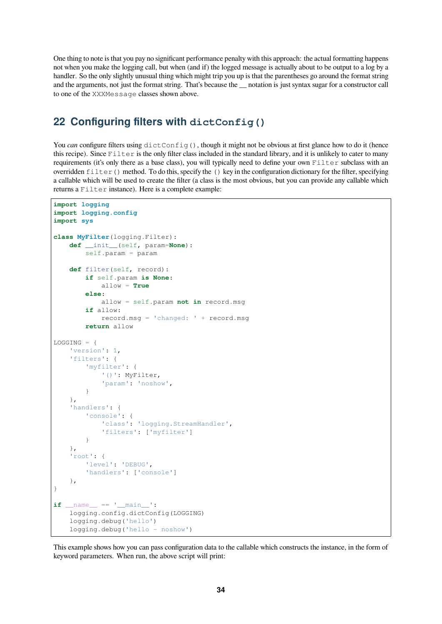One thing to note is that you pay no significant performance penalty with this approach: the actual formatting happens not when you make the logging call, but when (and if) the logged message is actually about to be output to a log by a handler. So the only slightly unusual thing which might trip you up is that the parentheses go around the format string and the arguments, not just the format string. That's because the notation is just syntax sugar for a constructor call to one of the XXXMessage classes shown above.

#### <span id="page-33-0"></span>**22 Configuring filters with dictConfig()**

You *can* configure filters using dictConfig(), though it might not be obvious at first glance how to do it (hence this recipe). Since Filter is the only filter class included in the standard library, and it is unlikely to cater to many requirements (it's only there as a base class), you will typically need to define your own Filter subclass with an overridden filter() method. To do this, specify the () key in the configuration dictionary for the filter, specifying a callable which will be used to create the filter (a class is the most obvious, but you can provide any callable which returns a Filter instance). Here is a complete example:

```
import logging
import logging.config
import sys
class MyFilter(logging.Filter):
    def __init__(self, param=None):
        self.param = param
    def filter(self, record):
        if self.param is None:
            allow = True
        else:
            allow = self.param not in record.msg
        if allow:
            record.msg = 'changed: ' + record.msg
        return allow
LOGGING = {
    'version': 1,
    'filters': {
        'myfilter': {
            '()': MyFilter,
            'param': 'noshow',
        }
    },
    'handlers': {
        'console': {
            'class': 'logging.StreamHandler',
            'filters': ['myfilter']
        }
    },
    'root': {
        'level': 'DEBUG',
        'handlers': ['console']
    },
}
if __name__ == '__main__':
    logging.config.dictConfig(LOGGING)
    logging.debug('hello')
    logging.debug('hello - noshow')
```
This example shows how you can pass configuration data to the callable which constructs the instance, in the form of keyword parameters. When run, the above script will print: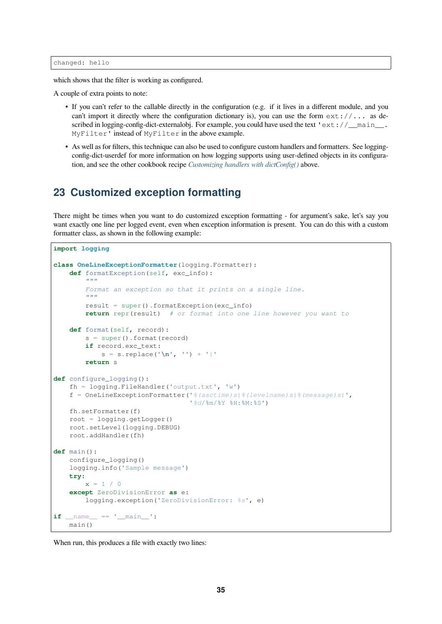which shows that the filter is working as configured.

A couple of extra points to note:

- If you can't refer to the callable directly in the configuration (e.g. if it lives in a different module, and you can't import it directly where the configuration dictionary is), you can use the form  $ext://...$  as described in logging-config-dict-externalobj. For example, you could have used the text 'ext://\_main\_\_. MyFilter' instead of MyFilter in the above example.
- As well as for filters, this technique can also be used to configure custom handlers and formatters. See loggingconfig-dict-userdef for more information on how logging supports using user-defined objects in its configuration, and see the other cookbook recipe *Customizing handlers with dictConfig()* above.

## **23 Customized exception [formatting](#page-29-0)**

<span id="page-34-0"></span>There might be times when you want to do customized exception formatting - for argument's sake, let's say you want exactly one line per logged event, even when exception information is present. You can do this with a custom formatter class, as shown in the following example:

```
import logging
class OneLineExceptionFormatter(logging.Formatter):
    def formatException(self, exc_info):
        """
        Format an exception so that it prints on a single line.
        "''''result = super().formatException(exc_info)
        return repr(result) # or format into one line however you want to
    def format(self, record):
        s = super().format(record)
        if record.exc_text:
            s = s.\text{replace}('n', '') + 'return s
def configure_logging():
    fh = logging.FileHandler('output.txt', 'w')
    f = OneLineExceptionFormatter('%(asctime)s|%(levelname)s|%(message)s|',
                                  '%d/%m/%Y %H:%M:%S')
    fh.setFormatter(f)
   root = logging.getLogger()
    root.setLevel(logging.DEBUG)
    root.addHandler(fh)
def main():
    configure_logging()
    logging.info('Sample message')
   try:
        x = 1 / 0except ZeroDivisionError as e:
        logging.exception('ZeroDivisionError: %s', e)
if __name__ == '__main__':
   main()
```
When run, this produces a file with exactly two lines: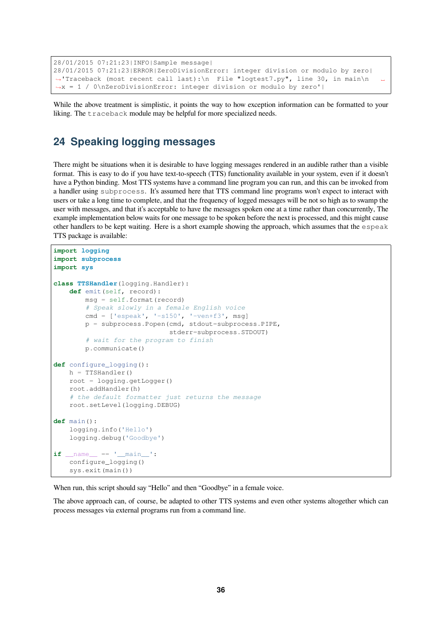```
28/01/2015 07:21:23|INFO|Sample message|
28/01/2015 07:21:23|ERROR|ZeroDivisionError: integer division or modulo by zero|
,→'Traceback (most recent call last):\n File "logtest7.py", line 30, in main\n ␣
,→x = 1 / 0\nZeroDivisionError: integer division or modulo by zero'|
```
While the above treatment is simplistic, it points the way to how exception information can be formatted to your liking. The traceback module may be helpful for more specialized needs.

## <span id="page-35-0"></span>**24 Speaking logging messages**

There might be situations when it is desirable to have logging messages rendered in an audible rather than a visible format. This is easy to do if you have text-to-speech (TTS) functionality available in your system, even if it doesn't have a Python binding. Most TTS systems have a command line program you can run, and this can be invoked from a handler using subprocess. It's assumed here that TTS command line programs won't expect to interact with users or take a long time to complete, and that the frequency of logged messages will be not so high as to swamp the user with messages, and that it's acceptable to have the messages spoken one at a time rather than concurrently, The example implementation below waits for one message to be spoken before the next is processed, and this might cause other handlers to be kept waiting. Here is a short example showing the approach, which assumes that the espeak TTS package is available:

```
import logging
import subprocess
import sys
class TTSHandler(logging.Handler):
    def emit(self, record):
        msg = self.format(record)
        # Speak slowly in a female English voice
        cmd = ['espeak', '-s150', '-ven+f3', msg]
        p = subprocess.Popen(cmd, stdout=subprocess.PIPE,
                             stderr=subprocess.STDOUT)
        # wait for the program to finish
        p.communicate()
def configure_logging():
   h = TTSHandler()root = logging.getLogger()
    root.addHandler(h)
    # the default formatter just returns the message
    root.setLevel(logging.DEBUG)
def main():
    logging.info('Hello')
    logging.debug('Goodbye')
if __name__ == '__main__':
    configure_logging()
    sys.exit(main())
```
When run, this script should say "Hello" and then "Goodbye" in a female voice.

The above approach can, of course, be adapted to other TTS systems and even other systems altogether which can process messages via external programs run from a command line.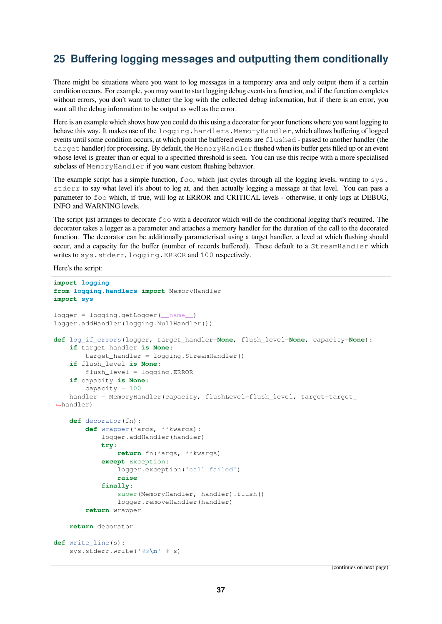## <span id="page-36-0"></span>**25 Buffering logging messages and outputting them conditionally**

There might be situations where you want to log messages in a temporary area and only output them if a certain condition occurs. For example, you may want to start logging debug events in a function, and if the function completes without errors, you don't want to clutter the log with the collected debug information, but if there is an error, you want all the debug information to be output as well as the error.

Here is an example which shows how you could do this using a decorator for your functions where you want logging to behave this way. It makes use of the logging.handlers.MemoryHandler, which allows buffering of logged events until some condition occurs, at which point the buffered events are flushed - passed to another handler (the target handler) for processing. By default, the MemoryHandler flushed when its buffer gets filled up or an event whose level is greater than or equal to a specified threshold is seen. You can use this recipe with a more specialised subclass of MemoryHandler if you want custom flushing behavior.

The example script has a simple function,  $f \circ \circ$ , which just cycles through all the logging levels, writing to sys. stderr to say what level it's about to log at, and then actually logging a message at that level. You can pass a parameter to foo which, if true, will log at ERROR and CRITICAL levels - otherwise, it only logs at DEBUG, INFO and WARNING levels.

The script just arranges to decorate foo with a decorator which will do the conditional logging that's required. The decorator takes a logger as a parameter and attaches a memory handler for the duration of the call to the decorated function. The decorator can be additionally parameterised using a target handler, a level at which flushing should occur, and a capacity for the buffer (number of records buffered). These default to a StreamHandler which writes to sys.stderr, logging.ERROR and 100 respectively.

Here's the script:

```
import logging
from logging.handlers import MemoryHandler
import sys
logger = logging.getLogger(__name__)
logger.addHandler(logging.NullHandler())
def log_if_errors(logger, target_handler=None, flush_level=None, capacity=None):
    if target_handler is None:
       target_handler = logging.StreamHandler()
    if flush_level is None:
       flush_level = logging.ERROR
    if capacity is None:
       capacity = 100
    handler = MemoryHandler(capacity, flushLevel=flush_level, target=target_
,→handler)
    def decorator(fn):
        def wrapper(*args, **kwargs):
            logger.addHandler(handler)
            try:
                return fn(*args, **kwargs)
            except Exception:
                logger.exception('call failed')
                raise
            finally:
                super(MemoryHandler, handler).flush()
                logger.removeHandler(handler)
        return wrapper
    return decorator
def write_line(s):
    sys.stderr.write('%s\n' % s)
```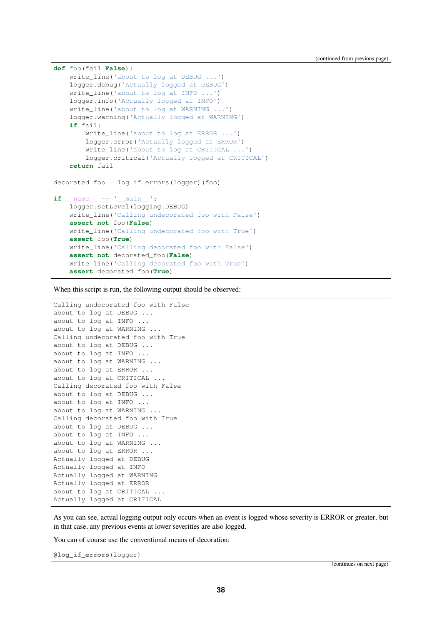```
def foo(fail=False):
   write_line('about to log at DEBUG ...')
   logger.debug('Actually logged at DEBUG')
   write_line('about to log at INFO ...')
   logger.info('Actually logged at INFO')
   write_line('about to log at WARNING ...')
    logger.warning('Actually logged at WARNING')
    if fail:
       write_line('about to log at ERROR ...')
        logger.error('Actually logged at ERROR')
       write_line('about to log at CRITICAL ...')
       logger.critical('Actually logged at CRITICAL')
    return fail
decorated_foo = log_if_errors(logger)(foo)
if __name__ == '__main__':
   logger.setLevel(logging.DEBUG)
   write_line('Calling undecorated foo with False')
   assert not foo(False)
   write_line('Calling undecorated foo with True')
   assert foo(True)
   write_line('Calling decorated foo with False')
    assert not decorated_foo(False)
    write_line('Calling decorated foo with True')
    assert decorated_foo(True)
```
When this script is run, the following output should be observed:

```
Calling undecorated foo with False
about to log at DEBUG ...
about to log at INFO ...
about to log at WARNING ...
Calling undecorated foo with True
about to log at DEBUG ...
about to log at INFO ...
about to log at WARNING ...
about to log at ERROR ...
about to log at CRITICAL ...
Calling decorated foo with False
about to log at DEBUG ...
about to log at INFO ...
about to log at WARNING ...
Calling decorated foo with True
about to log at DEBUG ...
about to log at INFO ...
about to log at WARNING ...
about to log at ERROR ...
Actually logged at DEBUG
Actually logged at INFO
Actually logged at WARNING
Actually logged at ERROR
about to log at CRITICAL ...
Actually logged at CRITICAL
```
As you can see, actual logging output only occurs when an event is logged whose severity is ERROR or greater, but in that case, any previous events at lower severities are also logged.

You can of course use the conventional means of decoration:

**@log\_if\_errors**(logger)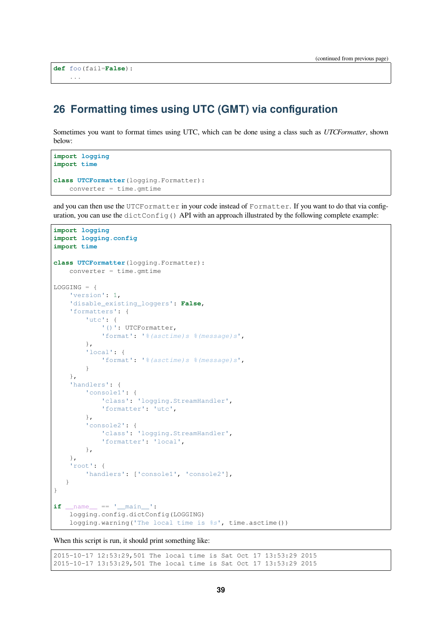```
def foo(fail=False):
    ...
```
#### <span id="page-38-0"></span>**26 Formatting times using UTC (GMT) via configuration**

Sometimes you want to format times using UTC, which can be done using a class such as *UTCFormatter*, shown below:

```
import logging
import time
class UTCFormatter(logging.Formatter):
   converter = time.gmtime
```
and you can then use the UTCFormatter in your code instead of Formatter. If you want to do that via configuration, you can use the dictConfig() API with an approach illustrated by the following complete example:

```
import logging
import logging.config
import time
class UTCFormatter(logging.Formatter):
   converter = time .gmtime
LOGGING = {'version': 1,
    'disable_existing_loggers': False,
    'formatters': {
        'utc': {
            '()': UTCFormatter,
            'format': '%(asctime)s %(message)s',
        },
        'local': {
            'format': '%(asctime)s %(message)s',
        }
    },
    'handlers': {
        'console1': {
            'class': 'logging.StreamHandler',
            'formatter': 'utc',
        },
        'console2': {
            'class': 'logging.StreamHandler',
            'formatter': 'local',
        },
    },
    'root': {
        'handlers': ['console1', 'console2'],
   }
}
if __name__ == '__main__':
    logging.config.dictConfig(LOGGING)
    logging.warning('The local time is %s', time.asctime())
```
When this script is run, it should print something like:

2015-10-17 12:53:29,501 The local time is Sat Oct 17 13:53:29 2015 2015-10-17 13:53:29,501 The local time is Sat Oct 17 13:53:29 2015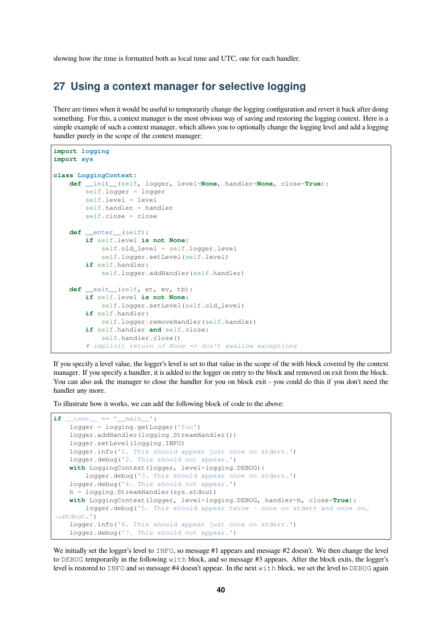showing how the time is formatted both as local time and UTC, one for each handler.

#### <span id="page-39-0"></span>**27 Using a context manager for selective logging**

There are times when it would be useful to temporarily change the logging configuration and revert it back after doing something. For this, a context manager is the most obvious way of saving and restoring the logging context. Here is a simple example of such a context manager, which allows you to optionally change the logging level and add a logging handler purely in the scope of the context manager:

```
import logging
import sys
class LoggingContext:
   def __init__(self, logger, level=None, handler=None, close=True):
       self.logger = logger
        self.level = level
        self.handler = handler
        self.close = close
    def __enter__(self):
        if self.level is not None:
            self.old_level = self.logger.level
            self.logger.setLevel(self.level)
        if self.handler:
            self.logger.addHandler(self.handler)
    def exit (self, et, ev, tb):
       if self.level is not None:
           self.logger.setLevel(self.old level)
        if self.handler:
           self.logger.removeHandler(self.handler)
        if self.handler and self.close:
           self.handler.close()
        # implicit return of None => don't swallow exceptions
```
If you specify a level value, the logger's level is set to that value in the scope of the with block covered by the context manager. If you specify a handler, it is added to the logger on entry to the block and removed on exit from the block. You can also ask the manager to close the handler for you on block exit - you could do this if you don't need the handler any more.

To illustrate how it works, we can add the following block of code to the above:

```
if __name__ == ' __main__':
    logger = logging.getLogger('foo')
    logger.addHandler(logging.StreamHandler())
    logger.setLevel(logging.INFO)
    logger.info('1. This should appear just once on stderr.')
    logger.debug('2. This should not appear.')
    with LoggingContext(logger, level=logging.DEBUG):
       logger.debug('3. This should appear once on stderr.')
   logger.debug('4. This should not appear.')
   h = logging.StreamHandler(sys.stdout)
   with LoggingContext(logger, level=logging.DEBUG, handler=h, close=True):
       logger.debug('5. This should appear twice - once on stderr and once on␣
,→stdout.')
    logger.info('6. This should appear just once on stderr.')
    logger.debug('7. This should not appear.')
```
We initially set the logger's level to INFO, so message #1 appears and message #2 doesn't. We then change the level to DEBUG temporarily in the following with block, and so message  $#3$  appears. After the block exits, the logger's level is restored to INFO and so message #4 doesn't appear. In the next with block, we set the level to DEBUG again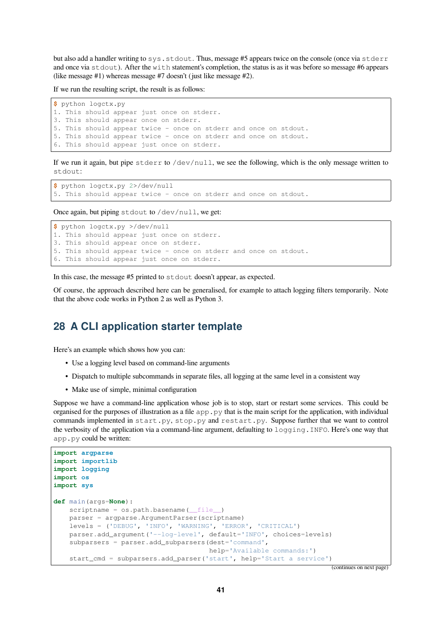but also add a handler writing to sys.stdout. Thus, message #5 appears twice on the console (once via stderr and once via stdout). After the with statement's completion, the status is as it was before so message #6 appears (like message #1) whereas message #7 doesn't (just like message #2).

If we run the resulting script, the result is as follows:

```
$ python logctx.py
1. This should appear just once on stderr.
3. This should appear once on stderr.
5. This should appear twice - once on stderr and once on stdout.
5. This should appear twice - once on stderr and once on stdout.
6. This should appear just once on stderr.
```
If we run it again, but pipe stderr to /dev/null, we see the following, which is the only message written to stdout:

```
$ python logctx.py 2>/dev/null
5. This should appear twice - once on stderr and once on stdout.
```
Once again, but piping stdout to /dev/null, we get:

```
$ python logctx.py >/dev/null
1. This should appear just once on stderr.
3. This should appear once on stderr.
5. This should appear twice - once on stderr and once on stdout.
6. This should appear just once on stderr.
```
In this case, the message #5 printed to stdout doesn't appear, as expected.

Of course, the approach described here can be generalised, for example to attach logging filters temporarily. Note that the above code works in Python 2 as well as Python 3.

#### <span id="page-40-0"></span>**28 A CLI application starter template**

Here's an example which shows how you can:

- Use a logging level based on command-line arguments
- Dispatch to multiple subcommands in separate files, all logging at the same level in a consistent way
- Make use of simple, minimal configuration

Suppose we have a command-line application whose job is to stop, start or restart some services. This could be organised for the purposes of illustration as a file  $a_{\text{DD}}$ ,  $b_{\text{VD}}$  that is the main script for the application, with individual commands implemented in start.py, stop.py and restart.py. Suppose further that we want to control the verbosity of the application via a command-line argument, defaulting to logging.INFO. Here's one way that app.py could be written:

```
import argparse
import importlib
import logging
import os
import sys
def main(args=None):
   scriptname = os.path.basename( file )
   parser = argparse.ArgumentParser(scriptname)
   levels = ('DEBUG', 'INFO', 'WARNING', 'ERROR', 'CRITICAL')
   parser.add_argument('--log-level', default='INFO', choices=levels)
    subparsers = parser.add_subparsers(dest='command',
                                       help='Available commands:')
    start_cmd = subparsers.add_parser('start', help='Start a service')
```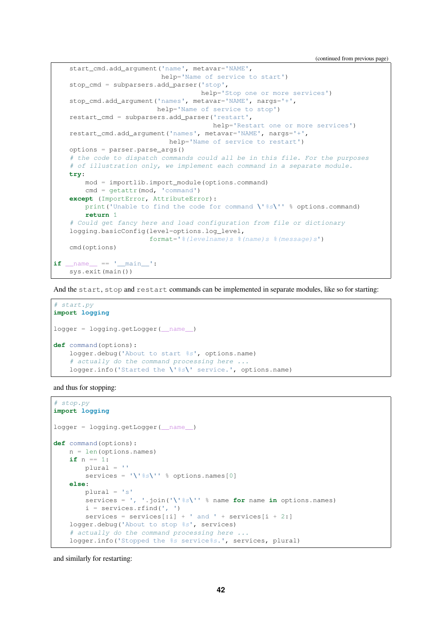(continued from previous page)

```
start_cmd.add_argument('name', metavar='NAME',
                           help='Name of service to start')
    stop_cmd = subparsers.add_parser('stop',
                                     help='Stop one or more services')
    stop_cmd.add_argument('names', metavar='NAME', nargs='+',
                          help='Name of service to stop')
    restart_cmd = subparsers.add_parser('restart',
                                        help='Restart one or more services')
    restart_cmd.add_argument('names', metavar='NAME', nargs='+',
                             help='Name of service to restart')
    options = parser.parse_args()
    # the code to dispatch commands could all be in this file. For the purposes
    # of illustration only, we implement each command in a separate module.
   try:
       mod = importlib.import_module(options.command)
       cmd = getattr(mod, 'command')
    except (ImportError, AttributeError):
       print('Unable to find the code for command \'%s\'' % options.command)
       return 1
    # Could get fancy here and load configuration from file or dictionary
    logging.basicConfig(level=options.log_level,
                        format='%(levelname)s %(name)s %(message)s')
    cmd(options)
if __name__ == ' __main__':
    sys.exit(main())
```
And the start, stop and restart commands can be implemented in separate modules, like so for starting:

```
# start.py
import logging
logger = logging.getLogger(__name__)
def command(options):
    logger.debug('About to start %s', options.name)
    # actually do the command processing here ...
    logger.info('Started the \'%s\' service.', options.name)
```
and thus for stopping:

```
# stop.py
import logging
logger = logging.getLogger(__name__)
def command(options):
    n = len(options.names)
    if n == 1:
         plusal = ''services = '\'%s\'' % options.names[0]
    else:
        plural = 's'
         services = \prime, \prime. join(\prime \backslash \prime \frac{1}{2}s\backslash \prime \prime % name for name in options.names)
         i = services. rfind(', ')
         services = services[:i] + ' and ' + services[i + 2:]logger.debug('About to stop %s', services)
     # actually do the command processing here ...
    logger.info('Stopped the %s service%s.', services, plural)
```
and similarly for restarting: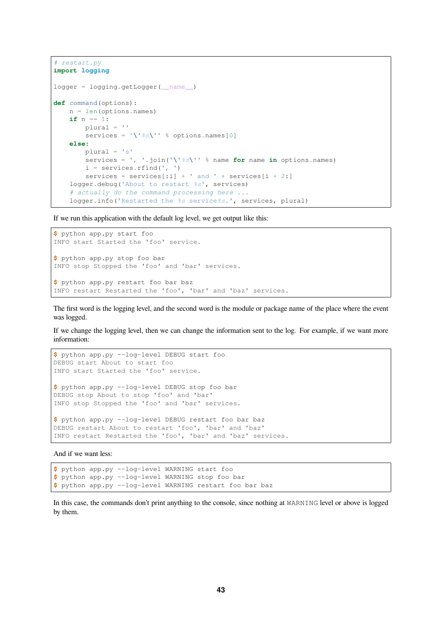```
# restart.py
import logging
logger = logging.getLogger(__name__)
def command(options):
    n = len(options.names)
    if n == 1:
         pluslural = ''
         services = '\'%s\'' % options.names[0]
    else:
         plural = 's'
         services = \prime, \prime. join(\prime \backslash \prime \frac{1}{2}s\backslash \prime \backslash \prime \frac{1}{2} name for name in options.names)
         i = services.rfind(', ')
         services = services[:i] + ' and ' + services[i + 2:]logger.debug('About to restart %s', services)
     # actually do the command processing here ...
    logger.info('Restarted the %s service%s.', services, plural)
```
If we run this application with the default log level, we get output like this:

```
$ python app.py start foo
INFO start Started the 'foo' service.
$ python app.py stop foo bar
INFO stop Stopped the 'foo' and 'bar' services.
$ python app.py restart foo bar baz
INFO restart Restarted the 'foo', 'bar' and 'baz' services.
```
The first word is the logging level, and the second word is the module or package name of the place where the event was logged.

If we change the logging level, then we can change the information sent to the log. For example, if we want more information:

```
$ python app.py --log-level DEBUG start foo
DEBUG start About to start foo
INFO start Started the 'foo' service.
$ python app.py --log-level DEBUG stop foo bar
DEBUG stop About to stop 'foo' and 'bar'
INFO stop Stopped the 'foo' and 'bar' services.
$ python app.py --log-level DEBUG restart foo bar baz
DEBUG restart About to restart 'foo', 'bar' and 'baz'
INFO restart Restarted the 'foo', 'bar' and 'baz' services.
```
And if we want less:

```
$ python app.py --log-level WARNING start foo
$ python app.py --log-level WARNING stop foo bar
$ python app.py --log-level WARNING restart foo bar baz
```
In this case, the commands don't print anything to the console, since nothing at WARNING level or above is logged by them.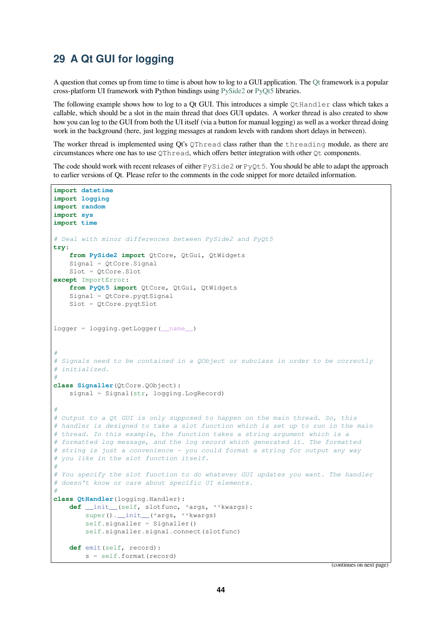## **29 A Qt GUI for logging**

A question that comes up from time to time is about how to log to a GUI application. The Qt framework is a popular cross-platform UI framework with Python bindings using PySide2 or PyQt5 libraries.

<span id="page-43-0"></span>The following example shows how to log to a Qt GUI. This introduces a simple QtHandler class which takes a callable, which should be a slot in the main thread that does GUI updates. A worker thread is also created to show how you can log to the GUI from both the UI itself (via a button for manual logging) as w[ell a](https://www.qt.io/)s a worker thread doing work in the background (here, just logging messages at ra[ndom lev](https://pypi.org/project/PySide2/)els [with ra](https://pypi.org/project/PyQt5/)ndom short delays in between).

The worker thread is implemented using Qt's QThread class rather than the threading module, as there are circumstances where one has to use QThread, which offers better integration with other Qt components.

The code should work with recent releases of either PySide2 or PyQt5. You should be able to adapt the approach to earlier versions of Qt. Please refer to the comments in the code snippet for more detailed information.

```
import datetime
import logging
import random
import sys
import time
# Deal with minor differences between PySide2 and PyQt5
try:
    from PySide2 import QtCore, QtGui, QtWidgets
    Signal = QtCore.Signal
   Slot = QtCore.Slot
except ImportError:
   from PyQt5 import QtCore, QtGui, QtWidgets
   Signal = QtCore.pyqtSignal
   Slot = QtCore.pyqtSlot
logger = logging.getLogger( name )
#
# Signals need to be contained in a QObject or subclass in order to be correctly
# initialized.
#
class Signaller(QtCore.QObject):
    signal = Signal(str, logging. LogRecord)
#
# Output to a Qt GUI is only supposed to happen on the main thread. So, this
# handler is designed to take a slot function which is set up to run in the main
# thread. In this example, the function takes a string argument which is a
# formatted log message, and the log record which generated it. The formatted
# string is just a convenience - you could format a string for output any way
# you like in the slot function itself.
#
# You specify the slot function to do whatever GUI updates you want. The handler
# doesn't know or care about specific UI elements.
#
class QtHandler(logging.Handler):
   def __init__(self, slotfunc, *args, **kwargs):
       super(). __init__(*args, **kwargs)
        self.signaller = Signaller()
       self.signaller.signal.connect(slotfunc)
   def emit(self, record):
        s = self.format(record)
```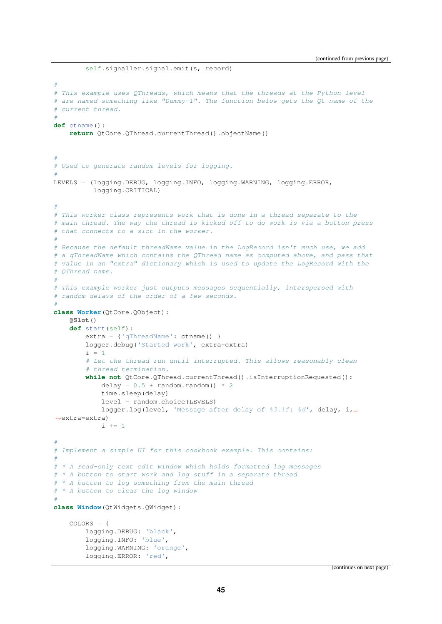(continued from previous page)

```
self.signaller.signal.emit(s, record)
#
# This example uses QThreads, which means that the threads at the Python level
# are named something like "Dummy-1". The function below gets the Qt name of the
# current thread.
#
def ctname():
   return QtCore.QThread.currentThread().objectName()
#
# Used to generate random levels for logging.
#
LEVELS = (logging.DEBUG, logging.INFO, logging.WARNING, logging.ERROR,
         logging.CRITICAL)
#
# This worker class represents work that is done in a thread separate to the
# main thread. The way the thread is kicked off to do work is via a button press
# that connects to a slot in the worker.
#
# Because the default threadName value in the LogRecord isn't much use, we add
# a qThreadName which contains the QThread name as computed above, and pass that
# value in an "extra" dictionary which is used to update the LogRecord with the
# QThread name.
#
# This example worker just outputs messages sequentially, interspersed with
# random delays of the order of a few seconds.
#
class Worker(QtCore.QObject):
    @Slot()
    def start(self):
        extra = {'qThreadName': ctname() }logger.debug('Started work', extra=extra)
       i = 1# Let the thread run until interrupted. This allows reasonably clean
        # thread termination.
       while not QtCore.QThread.currentThread().isInterruptionRequested():
           delay = 0.5 + \text{random.random}() * 2time.sleep(delay)
           level = random.choice(LEVELS)
           logger.log(level, 'Message after delay of %3.1f: %d', delay, i,␣
,→extra=extra)
            i + = 1#
# Implement a simple UI for this cookbook example. This contains:
#
# * A read-only text edit window which holds formatted log messages
# * A button to start work and log stuff in a separate thread
# * A button to log something from the main thread
# * A button to clear the log window
#
class Window(QtWidgets.QWidget):
   COLORS = \{logging.DEBUG: 'black',
       logging.INFO: 'blue',
       logging.WARNING: 'orange',
       logging.ERROR: 'red',
```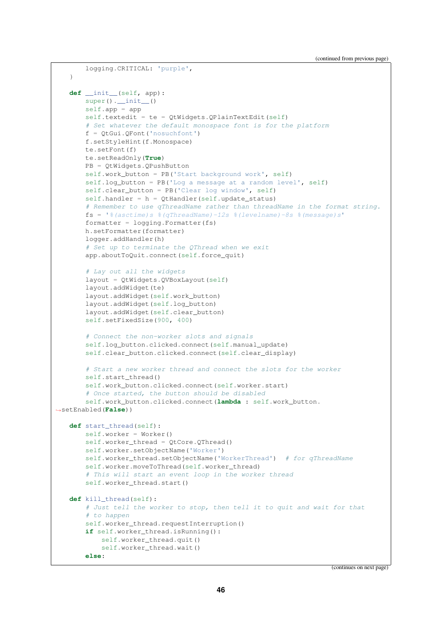```
logging.CRITICAL: 'purple',
   }
   def __init__(self, app):
       super() . _init ()self.app = app
       self.textedit = te = QtWidgets.QPlainTextEdit(self)
       # Set whatever the default monospace font is for the platform
       f = OtGui.OFont('nosuchfont')f.setStyleHint(f.Monospace)
       te.setFont(f)
       te.setReadOnly(True)
       PB = QtWidgets.QPushButton
       self.work_button = PB('Start background work', self)
       self.log_button = PB('Log a message at a random level', self)
       self.clear_button = PB('Clear log window', self)
       self.handler = h = QtHandler(self.update_status)
       # Remember to use qThreadName rather than threadName in the format string.
       fs = '%(asctime)s %(qThreadName)-12s %(levelname)-8s %(message)s'
       formatter = logging.Formatter(fs)h.setFormatter(formatter)
       logger.addHandler(h)
       # Set up to terminate the QThread when we exit
       app.aboutToQuit.connect(self.force_quit)
       # Lay out all the widgets
       layout = QtWidgets.QVBoxLayout(self)
       layout.addWidget(te)
       layout.addWidget(self.work_button)
       layout.addWidget(self.log_button)
       layout.addWidget(self.clear_button)
       self.setFixedSize(900, 400)
       # Connect the non-worker slots and signals
       self.log_button.clicked.connect(self.manual_update)
       self.clear_button.clicked.connect(self.clear_display)
       # Start a new worker thread and connect the slots for the worker
       self.start_thread()
       self.work button.clicked.connect(self.worker.start)
       # Once started, the button should be disabled
       self.work_button.clicked.connect(lambda : self.work_button.
,→setEnabled(False))
   def start_thread(self):
       self.worker = Worker()
       self.worker_thread = QtCore.QThread()
       self.worker.setObjectName('Worker')
       self.worker_thread.setObjectName('WorkerThread') # for qThreadName
       self.worker.moveToThread(self.worker_thread)
       # This will start an event loop in the worker thread
       self.worker_thread.start()
   def kill_thread(self):
       # Just tell the worker to stop, then tell it to quit and wait for that
       # to happen
       self.worker_thread.requestInterruption()
       if self.worker_thread.isRunning():
           self.worker_thread.quit()
           self.worker_thread.wait()
       else:
```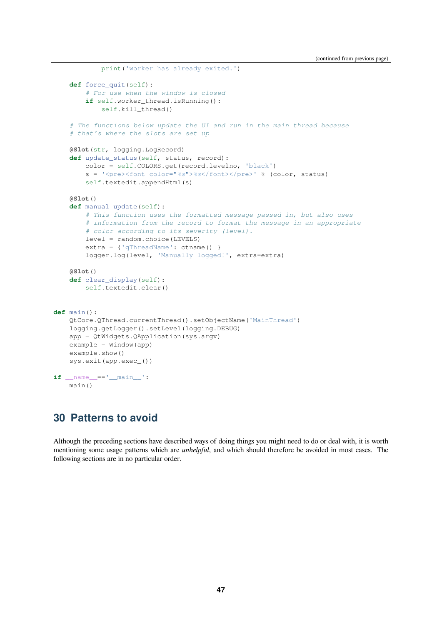(continued from previous page)

```
print('worker has already exited.')
    def force_quit(self):
        # For use when the window is closed
       if self.worker_thread.isRunning():
            self.kill_thread()
    # The functions below update the UI and run in the main thread because
    # that's where the slots are set up
    @Slot(str, logging.LogRecord)
    def update_status(self, status, record):
        color = self.COLORS.get(record.levelno, 'black')
        s = '<pre><font color="%s">%s</font></pre>' % (color, status)
        self.textedit.appendHtml(s)
    @Slot()
    def manual_update(self):
        # This function uses the formatted message passed in, but also uses
        # information from the record to format the message in an appropriate
        # color according to its severity (level).
       level = random.choice(LEVELS)
       extra = {'qThreadName': ctname() }
       logger.log(level, 'Manually logged!', extra=extra)
   @Slot()
    def clear_display(self):
        self.textedit.clear()
def main():
    QtCore.QThread.currentThread().setObjectName('MainThread')
    logging.getLogger().setLevel(logging.DEBUG)
    app = QtWidgets.QApplication(sys.argv)
    example = Window(app)
    example.show()
    sys.exit(app.exec_())
if __name__=='__main__':
   main()
```
#### <span id="page-46-0"></span>**30 Patterns to avoid**

Although the preceding sections have described ways of doing things you might need to do or deal with, it is worth mentioning some usage patterns which are *unhelpful*, and which should therefore be avoided in most cases. The following sections are in no particular order.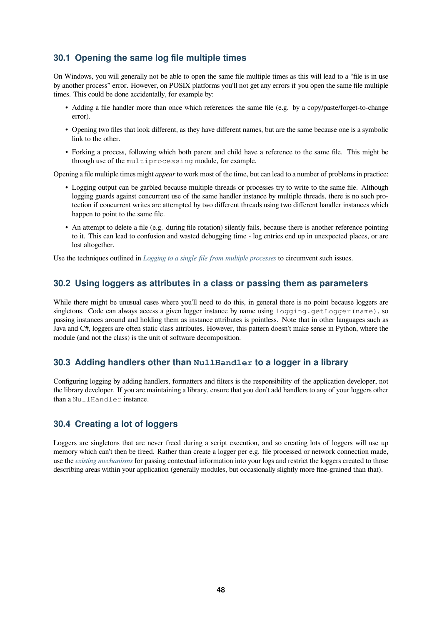#### **30.1 Opening the same log file multiple times**

<span id="page-47-0"></span>On Windows, you will generally not be able to open the same file multiple times as this will lead to a "file is in use by another process" error. However, on POSIX platforms you'll not get any errors if you open the same file multiple times. This could be done accidentally, for example by:

- Adding a file handler more than once which references the same file (e.g. by a copy/paste/forget-to-change error).
- Opening two files that look different, as they have different names, but are the same because one is a symbolic link to the other.
- Forking a process, following which both parent and child have a reference to the same file. This might be through use of the multiprocessing module, for example.

Opening a file multiple times might *appear* to work most of the time, but can lead to a number of problems in practice:

- Logging output can be garbled because multiple threads or processes try to write to the same file. Although logging guards against concurrent use of the same handler instance by multiple threads, there is no such protection if concurrent writes are attempted by two different threads using two different handler instances which happen to point to the same file.
- An attempt to delete a file (e.g. during file rotation) silently fails, because there is another reference pointing to it. This can lead to confusion and wasted debugging time - log entries end up in unexpected places, or are lost altogether.

Use the techniques outlined in *Logging to a single file from multiple processes* to circumvent such issues.

#### **30.2 Using loggers as attributes in a class or passing them as parameters**

<span id="page-47-1"></span>While there might be unusual [cases where you'll need to do this, in general](#page-12-0) there is no point because loggers are singletons. Code can always access a given logger instance by name using  $logqing.cqetLogqer(name)$ , so passing instances around and holding them as instance attributes is pointless. Note that in other languages such as Java and C#, loggers are often static class attributes. However, this pattern doesn't make sense in Python, where the module (and not the class) is the unit of software decomposition.

#### **30.3 Adding handlers other than NullHandler to a logger in a library**

Configuring logging by adding handlers, formatters and filters is the responsibility of the application developer, not the library developer. If you are maintaining a library, ensure that you don't add handlers to any of your loggers other than a NullHandler instance.

#### **30.4 Creating a lot of loggers**

Loggers are singletons that are never freed during a script execution, and so creating lots of loggers will use up memory which can't then be freed. Rather than create a logger per e.g. file processed or network connection made, use the *existing mechanisms* for passing contextual information into your logs and restrict the loggers created to those describing areas within your application (generally modules, but occasionally slightly more fine-grained than that).